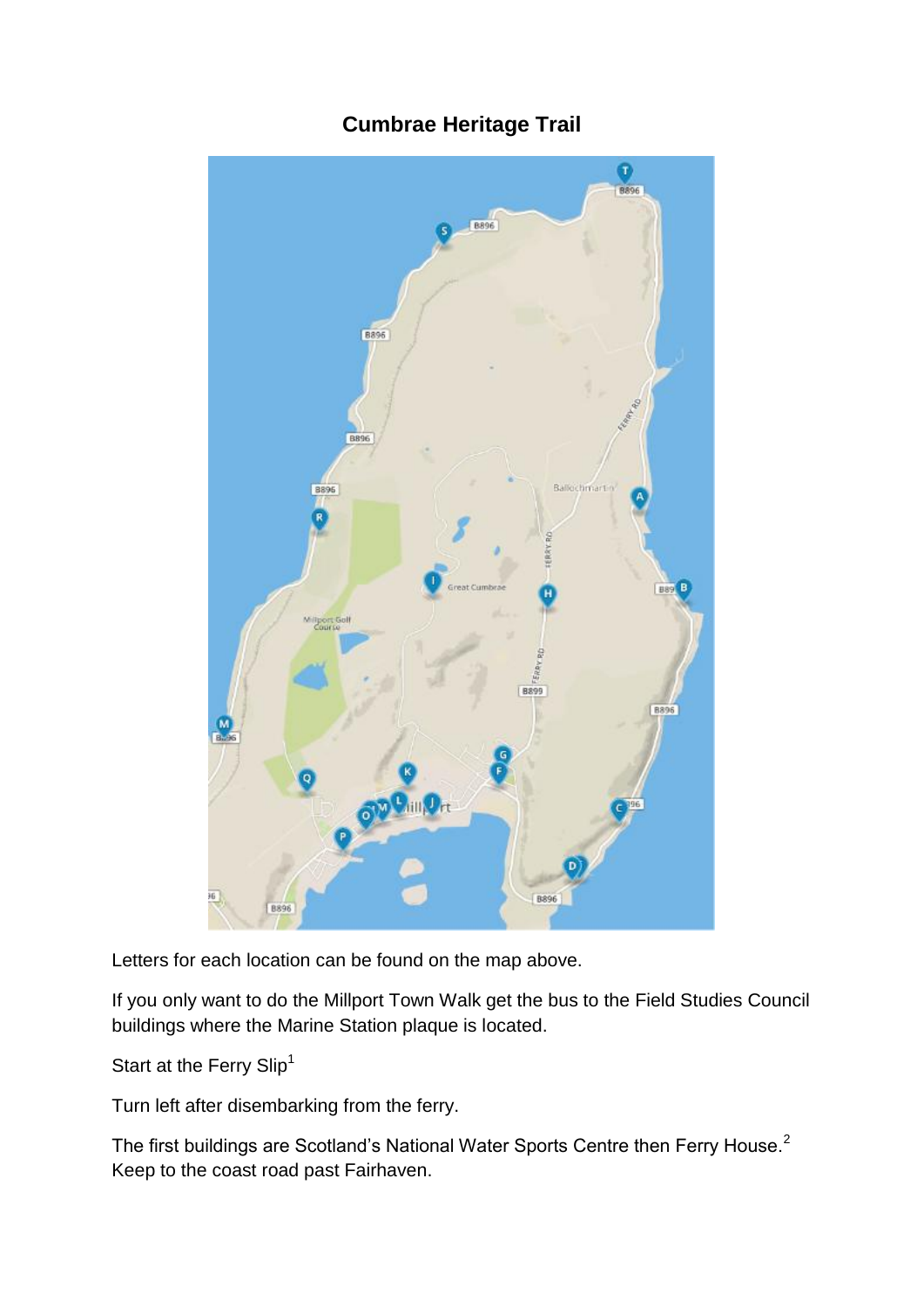# $\bullet$ BROE **B**896 8896 **B89 B896** BR96 **B896**

# **Cumbrae Heritage Trail**

Letters for each location can be found on the map above.

If you only want to do the Millport Town Walk get the bus to the Field Studies Council buildings where the Marine Station plaque is located.

Start at the Ferry Slip<sup>1</sup>

Turn left after disembarking from the ferry.

The first buildings are Scotland's National Water Sports Centre then Ferry House.<sup>2</sup> Keep to the coast road past Fairhaven.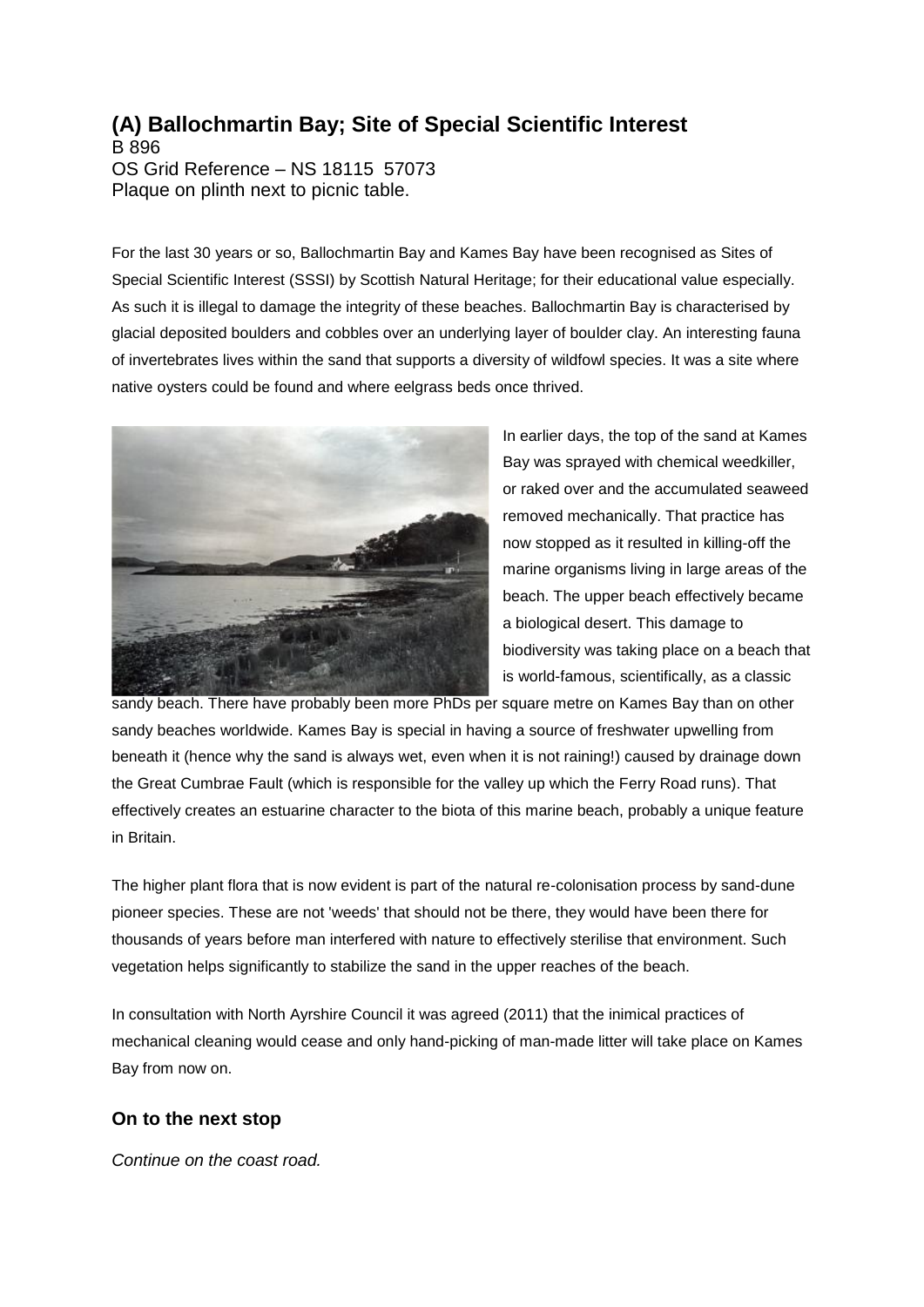# **(A) Ballochmartin Bay; Site of Special Scientific Interest**

B 896 OS Grid Reference – NS 18115 57073 Plaque on plinth next to picnic table.

For the last 30 years or so, Ballochmartin Bay and Kames Bay have been recognised as Sites of Special Scientific Interest (SSSI) by Scottish Natural Heritage; for their educational value especially. As such it is illegal to damage the integrity of these beaches. Ballochmartin Bay is characterised by glacial deposited boulders and cobbles over an underlying layer of boulder clay. An interesting fauna of invertebrates lives within the sand that supports a diversity of wildfowl species. It was a site where native oysters could be found and where eelgrass beds once thrived.



In earlier days, the top of the sand at Kames Bay was sprayed with chemical weedkiller, or raked over and the accumulated seaweed removed mechanically. That practice has now stopped as it resulted in killing-off the marine organisms living in large areas of the beach. The upper beach effectively became a biological desert. This damage to biodiversity was taking place on a beach that is world-famous, scientifically, as a classic

sandy beach. There have probably been more PhDs per square metre on Kames Bay than on other sandy beaches worldwide. Kames Bay is special in having a source of freshwater upwelling from beneath it (hence why the sand is always wet, even when it is not raining!) caused by drainage down the Great Cumbrae Fault (which is responsible for the valley up which the Ferry Road runs). That effectively creates an estuarine character to the biota of this marine beach, probably a unique feature in Britain.

The higher plant flora that is now evident is part of the natural re-colonisation process by sand-dune pioneer species. These are not 'weeds' that should not be there, they would have been there for thousands of years before man interfered with nature to effectively sterilise that environment. Such vegetation helps significantly to stabilize the sand in the upper reaches of the beach.

In consultation with North Ayrshire Council it was agreed (2011) that the inimical practices of mechanical cleaning would cease and only hand-picking of man-made litter will take place on Kames Bay from now on.

## **On to the next stop**

*Continue on the coast road.*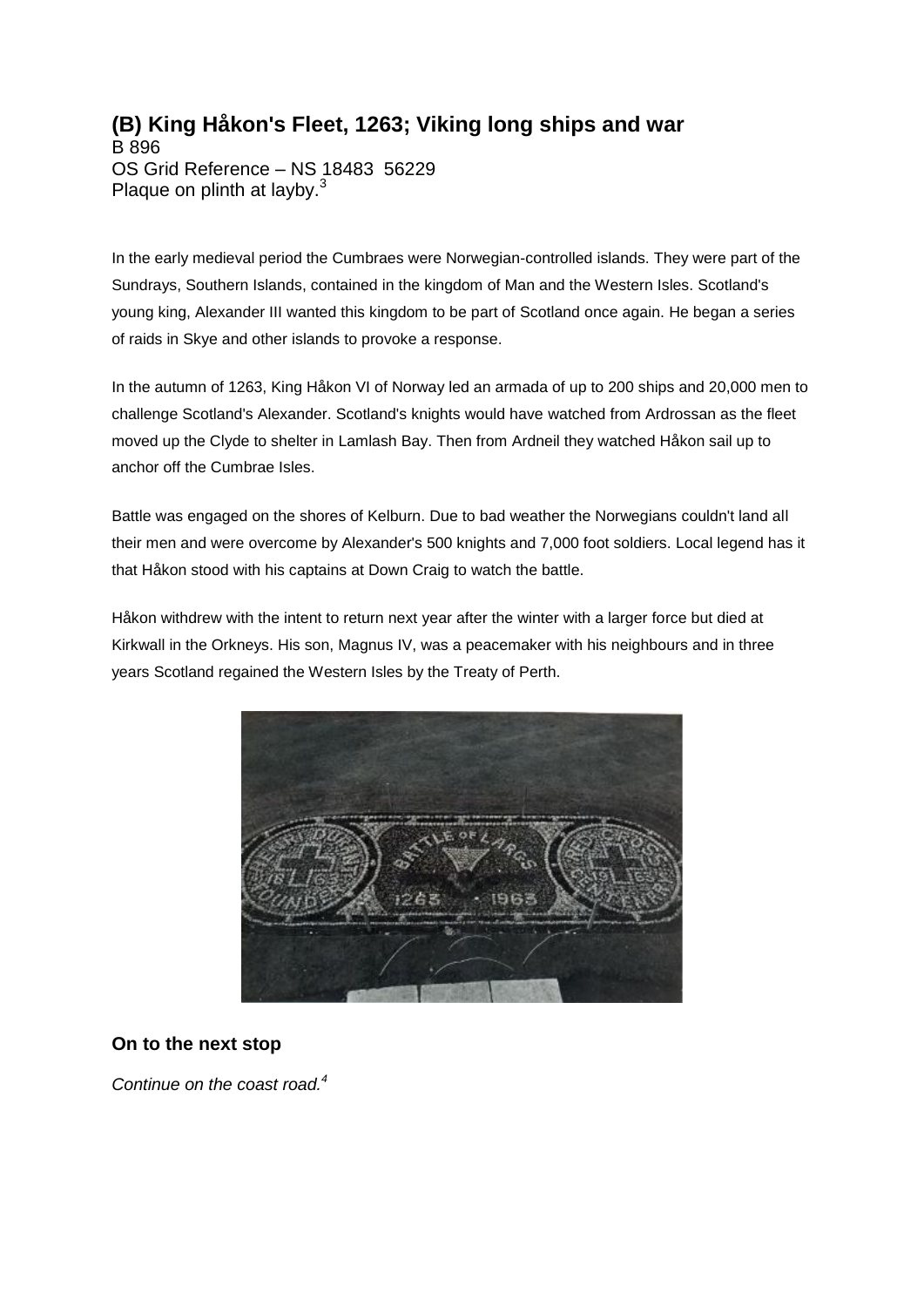# **(B) King Håkon's Fleet, 1263; Viking long ships and war**

B 896 OS Grid Reference – NS 18483 56229 Plaque on plinth at layby. $3$ 

In the early medieval period the Cumbraes were Norwegian-controlled islands. They were part of the Sundrays, Southern Islands, contained in the kingdom of Man and the Western Isles. Scotland's young king, Alexander III wanted this kingdom to be part of Scotland once again. He began a series of raids in Skye and other islands to provoke a response.

In the autumn of 1263, King Håkon VI of Norway led an armada of up to 200 ships and 20,000 men to challenge Scotland's Alexander. Scotland's knights would have watched from Ardrossan as the fleet moved up the Clyde to shelter in Lamlash Bay. Then from Ardneil they watched Håkon sail up to anchor off the Cumbrae Isles.

Battle was engaged on the shores of Kelburn. Due to bad weather the Norwegians couldn't land all their men and were overcome by Alexander's 500 knights and 7,000 foot soldiers. Local legend has it that Håkon stood with his captains at Down Craig to watch the battle.

Håkon withdrew with the intent to return next year after the winter with a larger force but died at Kirkwall in the Orkneys. His son, Magnus IV, was a peacemaker with his neighbours and in three years Scotland regained the Western Isles by the Treaty of Perth.



## **On to the next stop**

*Continue on the coast road.<sup>4</sup>*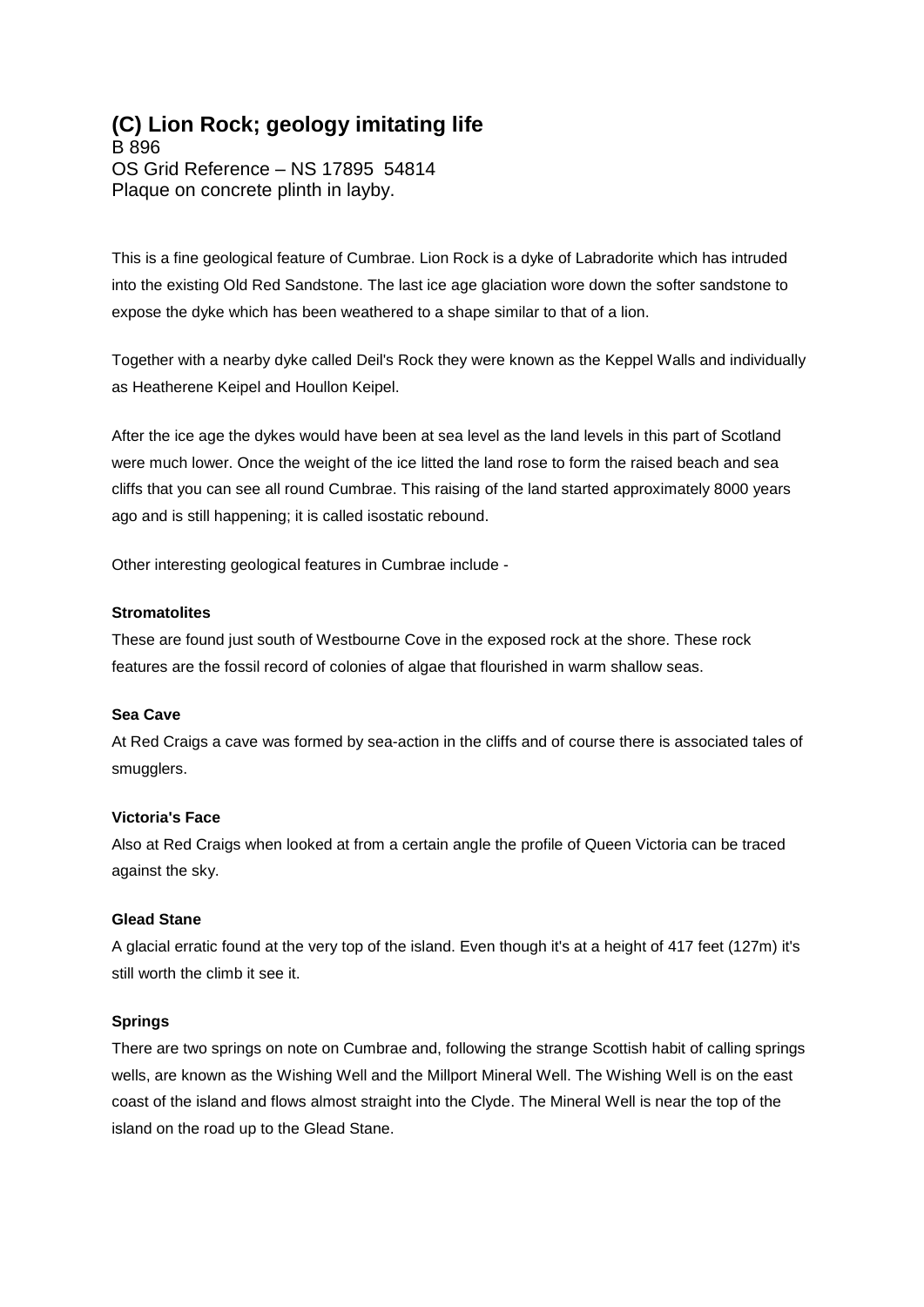# **(C) Lion Rock; geology imitating life**

B 896 OS Grid Reference – NS 17895 54814 Plaque on concrete plinth in layby.

This is a fine geological feature of Cumbrae. Lion Rock is a dyke of Labradorite which has intruded into the existing Old Red Sandstone. The last ice age glaciation wore down the softer sandstone to expose the dyke which has been weathered to a shape similar to that of a lion.

Together with a nearby dyke called Deil's Rock they were known as the Keppel Walls and individually as Heatherene Keipel and Houllon Keipel.

After the ice age the dykes would have been at sea level as the land levels in this part of Scotland were much lower. Once the weight of the ice litted the land rose to form the raised beach and sea cliffs that you can see all round Cumbrae. This raising of the land started approximately 8000 years ago and is still happening; it is called isostatic rebound.

Other interesting geological features in Cumbrae include -

#### **Stromatolites**

These are found just south of Westbourne Cove in the exposed rock at the shore. These rock features are the fossil record of colonies of algae that flourished in warm shallow seas.

#### **Sea Cave**

At Red Craigs a cave was formed by sea-action in the cliffs and of course there is associated tales of smugglers.

#### **Victoria's Face**

Also at Red Craigs when looked at from a certain angle the profile of Queen Victoria can be traced against the sky.

#### **Glead Stane**

A glacial erratic found at the very top of the island. Even though it's at a height of 417 feet (127m) it's still worth the climb it see it.

#### **Springs**

There are two springs on note on Cumbrae and, following the strange Scottish habit of calling springs wells, are known as the Wishing Well and the Millport Mineral Well. The Wishing Well is on the east coast of the island and flows almost straight into the Clyde. The Mineral Well is near the top of the island on the road up to the Glead Stane.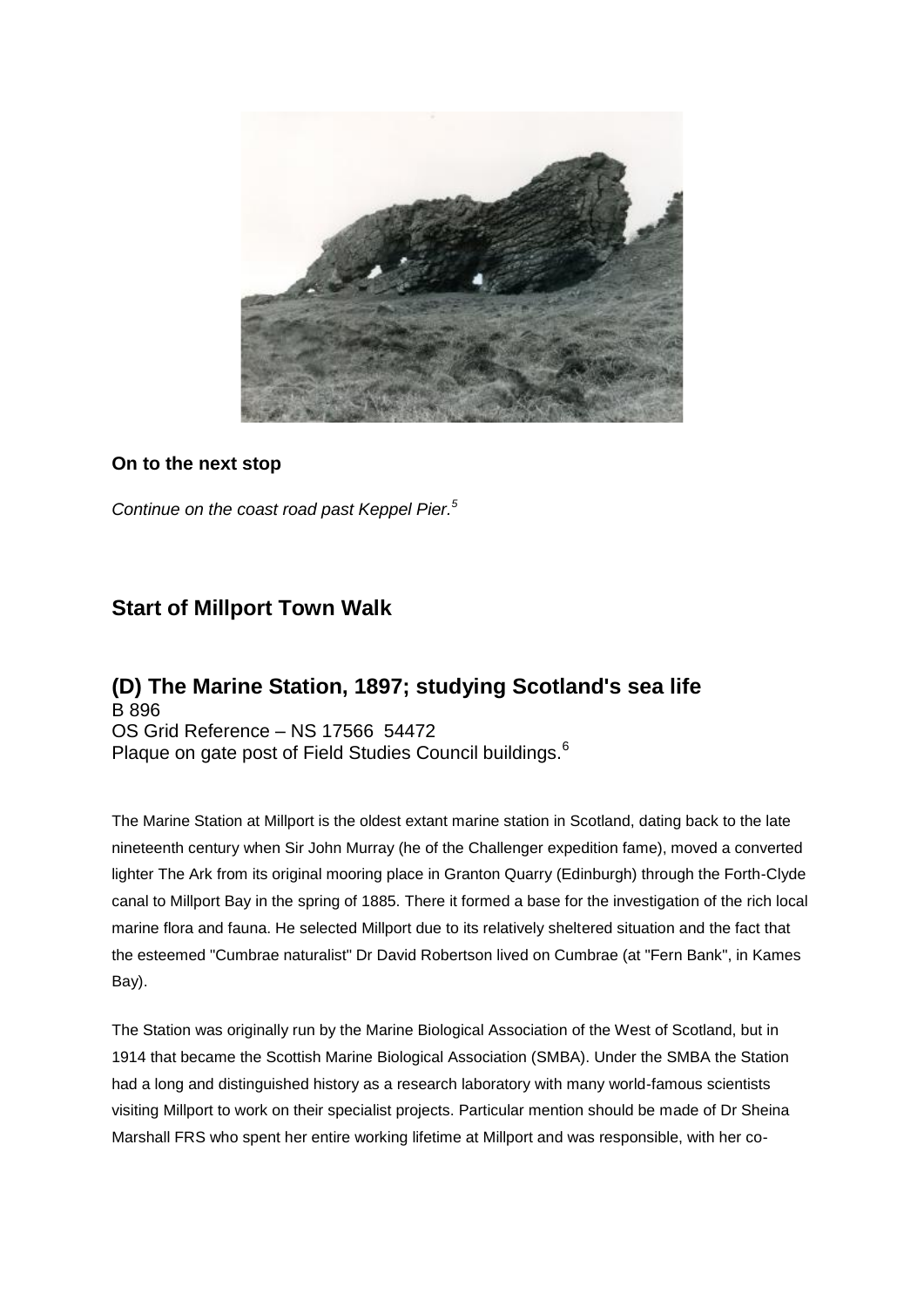

## **On to the next stop**

*Continue on the coast road past Keppel Pier.<sup>5</sup>*

# **Start of Millport Town Walk**

## **(D) The Marine Station, 1897; studying Scotland's sea life** B 896 OS Grid Reference – NS 17566 54472 Plaque on gate post of Field Studies Council buildings.<sup>6</sup>

The Marine Station at Millport is the oldest extant marine station in Scotland, dating back to the late nineteenth century when Sir John Murray (he of the Challenger expedition fame), moved a converted lighter The Ark from its original mooring place in Granton Quarry (Edinburgh) through the Forth-Clyde canal to Millport Bay in the spring of 1885. There it formed a base for the investigation of the rich local marine flora and fauna. He selected Millport due to its relatively sheltered situation and the fact that the esteemed "Cumbrae naturalist" Dr David Robertson lived on Cumbrae (at "Fern Bank", in Kames Bay).

The Station was originally run by the Marine Biological Association of the West of Scotland, but in 1914 that became the Scottish Marine Biological Association (SMBA). Under the SMBA the Station had a long and distinguished history as a research laboratory with many world-famous scientists visiting Millport to work on their specialist projects. Particular mention should be made of Dr Sheina Marshall FRS who spent her entire working lifetime at Millport and was responsible, with her co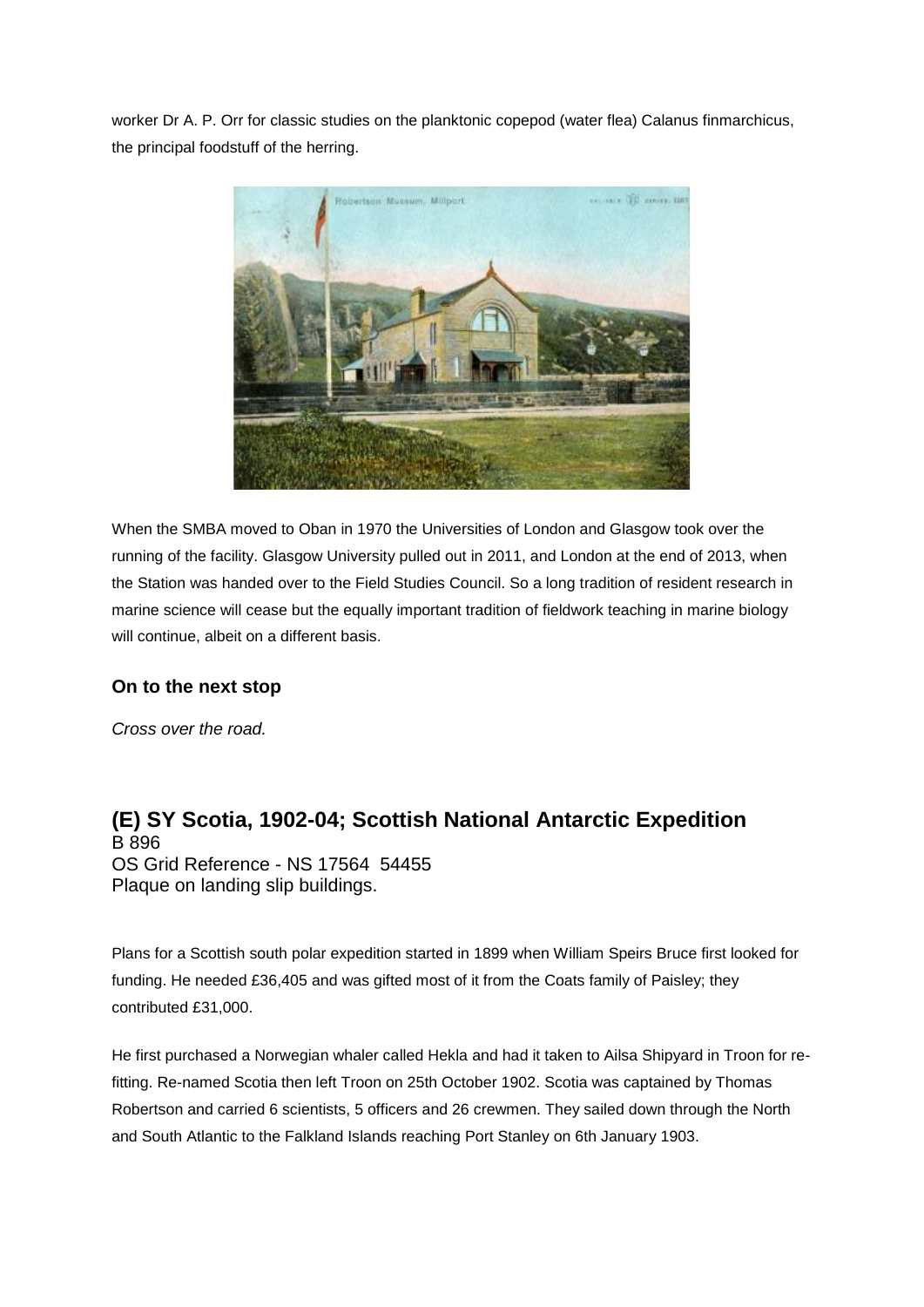worker Dr A. P. Orr for classic studies on the planktonic copepod (water flea) Calanus finmarchicus, the principal foodstuff of the herring.



When the SMBA moved to Oban in 1970 the Universities of London and Glasgow took over the running of the facility. Glasgow University pulled out in 2011, and London at the end of 2013, when the Station was handed over to the Field Studies Council. So a long tradition of resident research in marine science will cease but the equally important tradition of fieldwork teaching in marine biology will continue, albeit on a different basis.

# **On to the next stop**

*Cross over the road.*

**(E) SY Scotia, 1902-04; Scottish National Antarctic Expedition** B 896 OS Grid Reference - NS 17564 54455 Plaque on landing slip buildings.

Plans for a Scottish south polar expedition started in 1899 when William Speirs Bruce first looked for funding. He needed £36,405 and was gifted most of it from the Coats family of Paisley; they contributed £31,000.

He first purchased a Norwegian whaler called Hekla and had it taken to Ailsa Shipyard in Troon for refitting. Re-named Scotia then left Troon on 25th October 1902. Scotia was captained by Thomas Robertson and carried 6 scientists, 5 officers and 26 crewmen. They sailed down through the North and South Atlantic to the Falkland Islands reaching Port Stanley on 6th January 1903.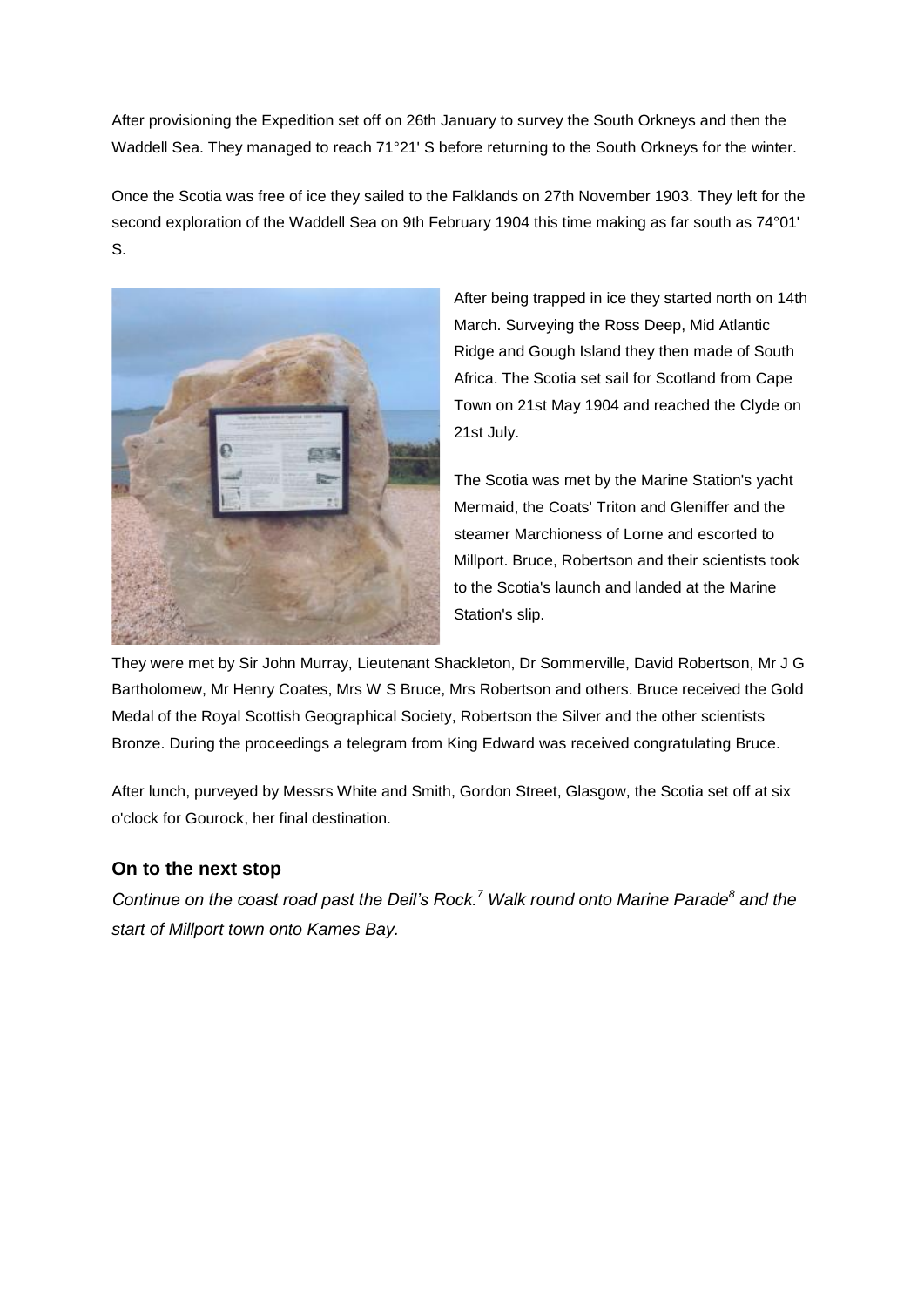After provisioning the Expedition set off on 26th January to survey the South Orkneys and then the Waddell Sea. They managed to reach 71°21' S before returning to the South Orkneys for the winter.

Once the Scotia was free of ice they sailed to the Falklands on 27th November 1903. They left for the second exploration of the Waddell Sea on 9th February 1904 this time making as far south as 74°01' S.



After being trapped in ice they started north on 14th March. Surveying the Ross Deep, Mid Atlantic Ridge and Gough Island they then made of South Africa. The Scotia set sail for Scotland from Cape Town on 21st May 1904 and reached the Clyde on 21st July.

The Scotia was met by the Marine Station's yacht Mermaid, the Coats' Triton and Gleniffer and the steamer Marchioness of Lorne and escorted to Millport. Bruce, Robertson and their scientists took to the Scotia's launch and landed at the Marine Station's slip.

They were met by Sir John Murray, Lieutenant Shackleton, Dr Sommerville, David Robertson, Mr J G Bartholomew, Mr Henry Coates, Mrs W S Bruce, Mrs Robertson and others. Bruce received the Gold Medal of the Royal Scottish Geographical Society, Robertson the Silver and the other scientists Bronze. During the proceedings a telegram from King Edward was received congratulating Bruce.

After lunch, purveyed by Messrs White and Smith, Gordon Street, Glasgow, the Scotia set off at six o'clock for Gourock, her final destination.

# **On to the next stop**

*Continue on the coast road past the Deil's Rock.<sup>7</sup> Walk round onto Marine Parade<sup>8</sup> and the start of Millport town onto Kames Bay.*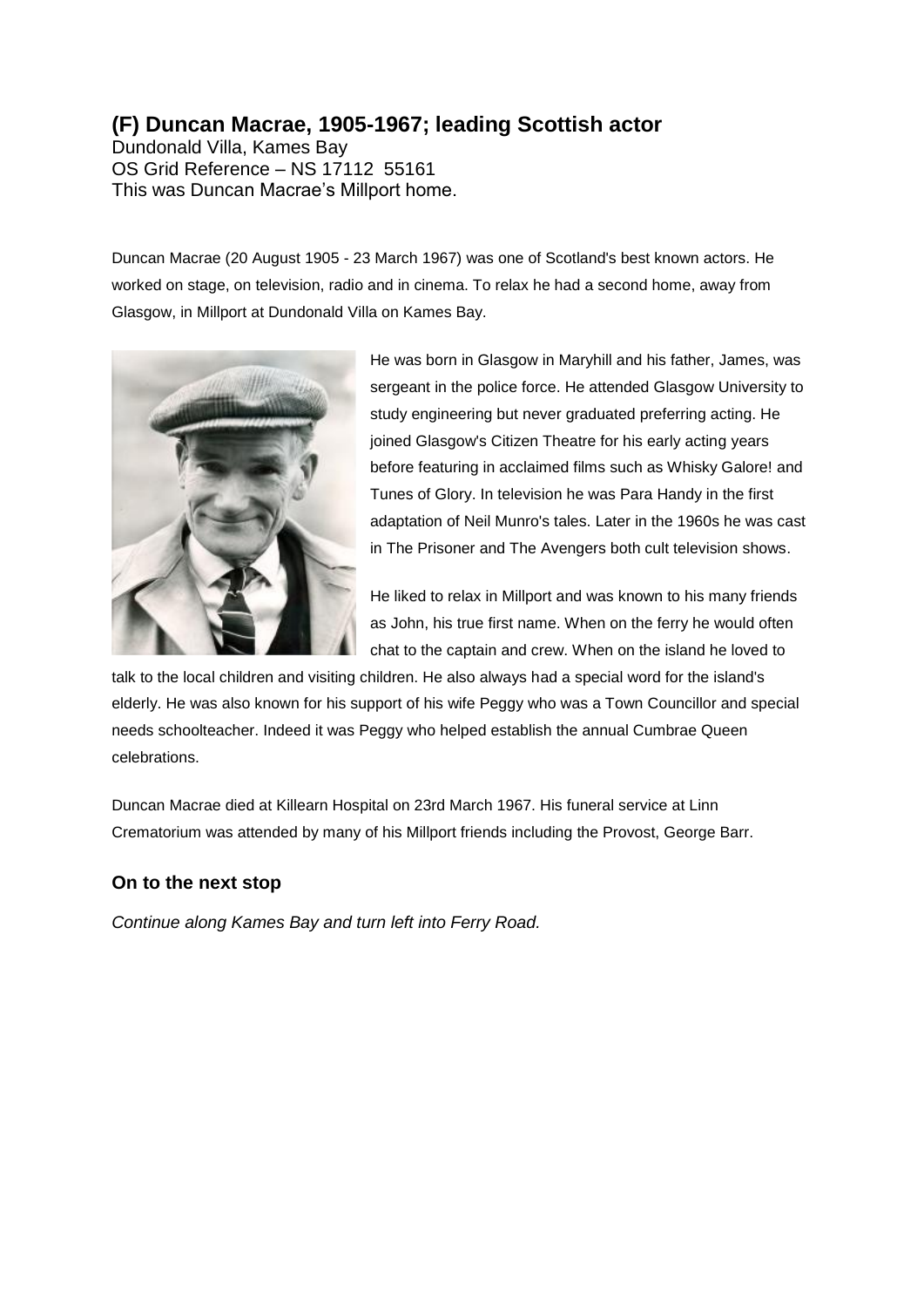# **(F) Duncan Macrae, 1905-1967; leading Scottish actor**

Dundonald Villa, Kames Bay OS Grid Reference – NS 17112 55161 This was Duncan Macrae's Millport home.

Duncan Macrae (20 August 1905 - 23 March 1967) was one of Scotland's best known actors. He worked on stage, on television, radio and in cinema. To relax he had a second home, away from Glasgow, in Millport at Dundonald Villa on Kames Bay.



He was born in Glasgow in Maryhill and his father, James, was sergeant in the police force. He attended Glasgow University to study engineering but never graduated preferring acting. He joined Glasgow's Citizen Theatre for his early acting years before featuring in acclaimed films such as Whisky Galore! and Tunes of Glory. In television he was Para Handy in the first adaptation of Neil Munro's tales. Later in the 1960s he was cast in The Prisoner and The Avengers both cult television shows.

He liked to relax in Millport and was known to his many friends as John, his true first name. When on the ferry he would often chat to the captain and crew. When on the island he loved to

talk to the local children and visiting children. He also always had a special word for the island's elderly. He was also known for his support of his wife Peggy who was a Town Councillor and special needs schoolteacher. Indeed it was Peggy who helped establish the annual Cumbrae Queen celebrations.

Duncan Macrae died at Killearn Hospital on 23rd March 1967. His funeral service at Linn Crematorium was attended by many of his Millport friends including the Provost, George Barr.

## **On to the next stop**

*Continue along Kames Bay and turn left into Ferry Road.*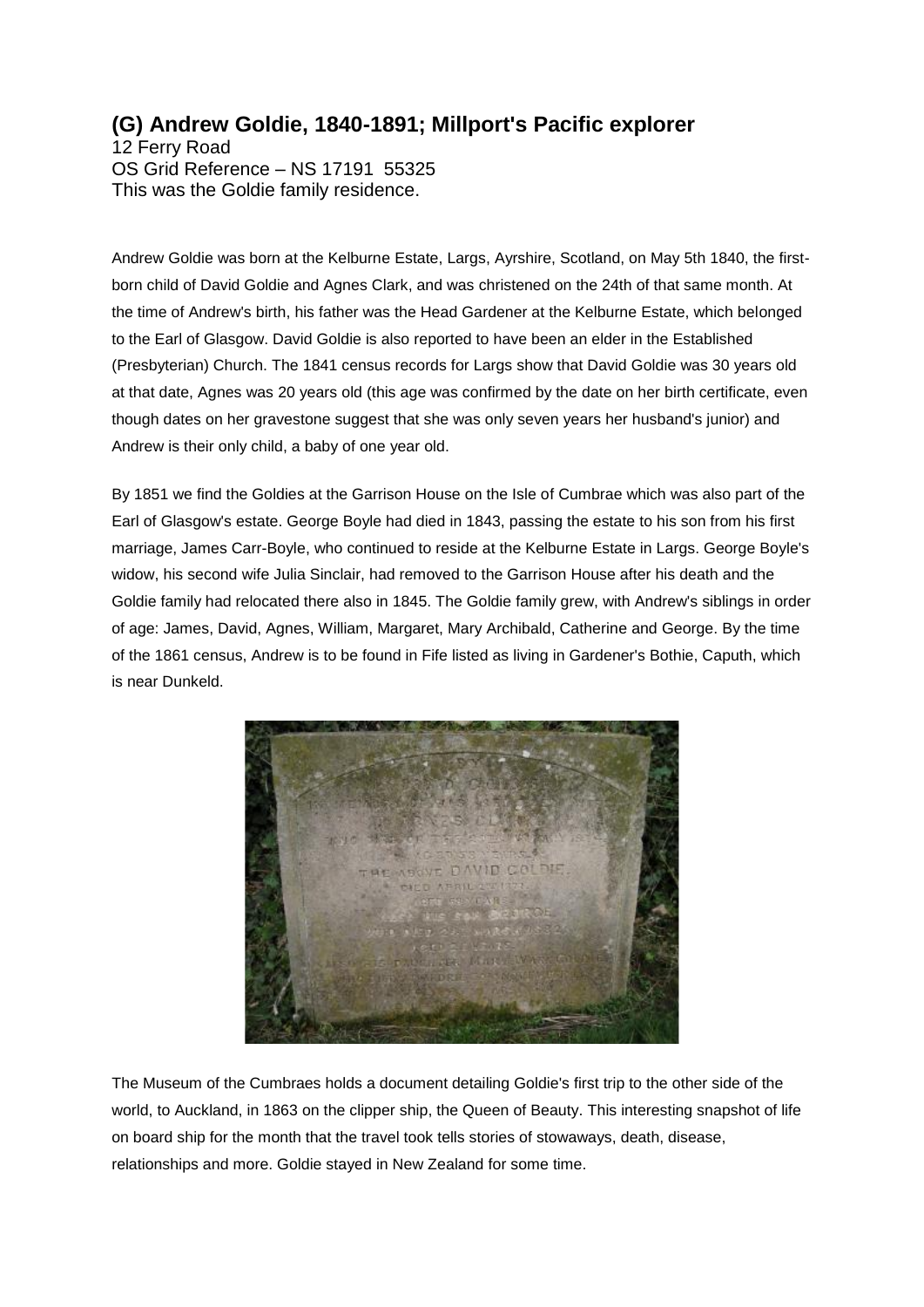# **(G) Andrew Goldie, 1840-1891; Millport's Pacific explorer**

12 Ferry Road OS Grid Reference – NS 17191 55325 This was the Goldie family residence.

Andrew Goldie was born at the Kelburne Estate, Largs, Ayrshire, Scotland, on May 5th 1840, the firstborn child of David Goldie and Agnes Clark, and was christened on the 24th of that same month. At the time of Andrew's birth, his father was the Head Gardener at the Kelburne Estate, which belonged to the Earl of Glasgow. David Goldie is also reported to have been an elder in the Established (Presbyterian) Church. The 1841 census records for Largs show that David Goldie was 30 years old at that date, Agnes was 20 years old (this age was confirmed by the date on her birth certificate, even though dates on her gravestone suggest that she was only seven years her husband's junior) and Andrew is their only child, a baby of one year old.

By 1851 we find the Goldies at the Garrison House on the Isle of Cumbrae which was also part of the Earl of Glasgow's estate. George Boyle had died in 1843, passing the estate to his son from his first marriage, James Carr-Boyle, who continued to reside at the Kelburne Estate in Largs. George Boyle's widow, his second wife Julia Sinclair, had removed to the Garrison House after his death and the Goldie family had relocated there also in 1845. The Goldie family grew, with Andrew's siblings in order of age: James, David, Agnes, William, Margaret, Mary Archibald, Catherine and George. By the time of the 1861 census, Andrew is to be found in Fife listed as living in Gardener's Bothie, Caputh, which is near Dunkeld.



The Museum of the Cumbraes holds a document detailing Goldie's first trip to the other side of the world, to Auckland, in 1863 on the clipper ship, the Queen of Beauty. This interesting snapshot of life on board ship for the month that the travel took tells stories of stowaways, death, disease, relationships and more. Goldie stayed in New Zealand for some time.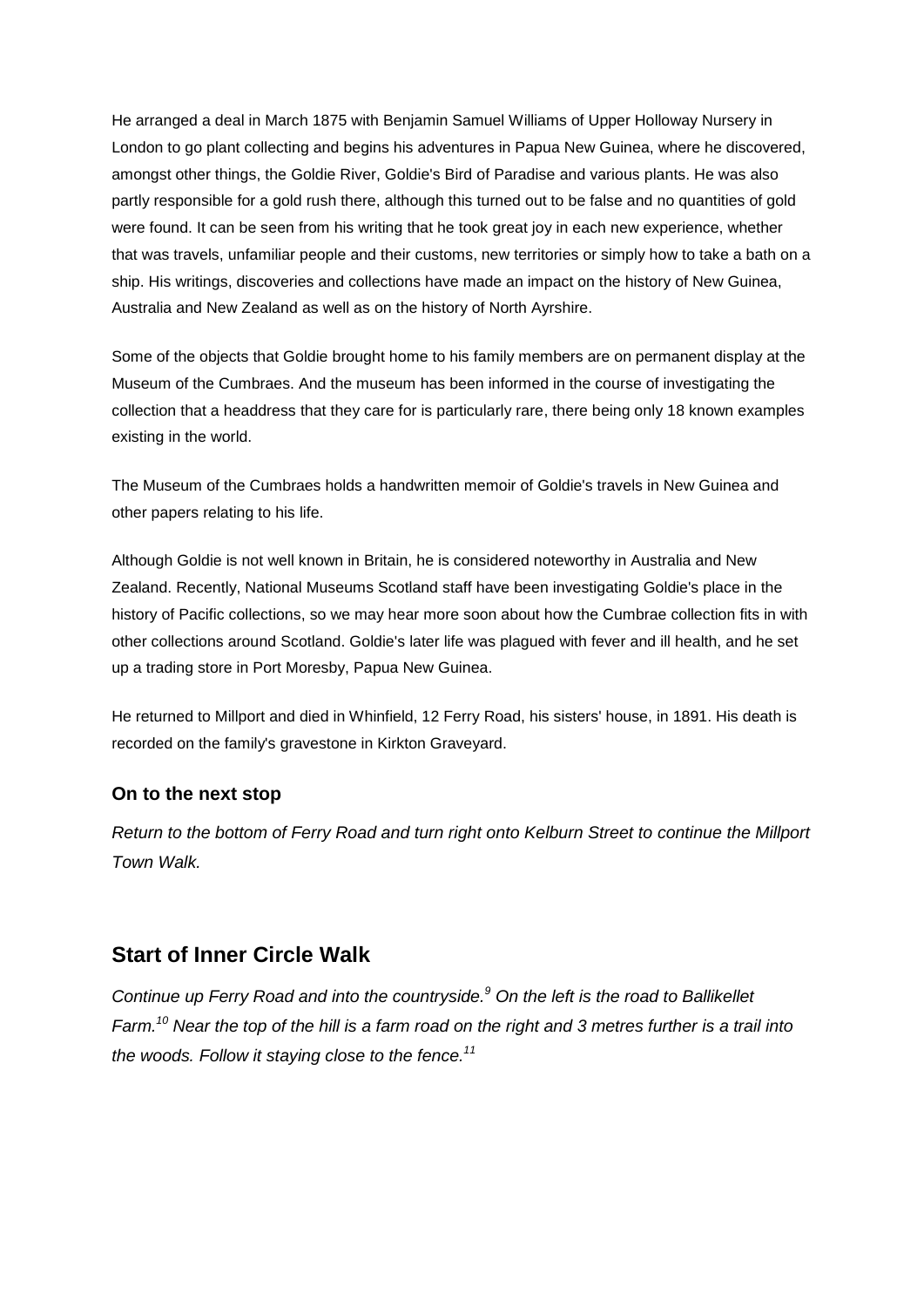He arranged a deal in March 1875 with Benjamin Samuel Williams of Upper Holloway Nursery in London to go plant collecting and begins his adventures in Papua New Guinea, where he discovered, amongst other things, the Goldie River, Goldie's Bird of Paradise and various plants. He was also partly responsible for a gold rush there, although this turned out to be false and no quantities of gold were found. It can be seen from his writing that he took great joy in each new experience, whether that was travels, unfamiliar people and their customs, new territories or simply how to take a bath on a ship. His writings, discoveries and collections have made an impact on the history of New Guinea, Australia and New Zealand as well as on the history of North Ayrshire.

Some of the objects that Goldie brought home to his family members are on permanent display at the Museum of the Cumbraes. And the museum has been informed in the course of investigating the collection that a headdress that they care for is particularly rare, there being only 18 known examples existing in the world.

The Museum of the Cumbraes holds a handwritten memoir of Goldie's travels in New Guinea and other papers relating to his life.

Although Goldie is not well known in Britain, he is considered noteworthy in Australia and New Zealand. Recently, National Museums Scotland staff have been investigating Goldie's place in the history of Pacific collections, so we may hear more soon about how the Cumbrae collection fits in with other collections around Scotland. Goldie's later life was plagued with fever and ill health, and he set up a trading store in Port Moresby, Papua New Guinea.

He returned to Millport and died in Whinfield, 12 Ferry Road, his sisters' house, in 1891. His death is recorded on the family's gravestone in Kirkton Graveyard.

## **On to the next stop**

*Return to the bottom of Ferry Road and turn right onto Kelburn Street to continue the Millport Town Walk.*

# **Start of Inner Circle Walk**

*Continue up Ferry Road and into the countryside.<sup>9</sup> On the left is the road to Ballikellet Farm.<sup>10</sup> Near the top of the hill is a farm road on the right and 3 metres further is a trail into the woods. Follow it staying close to the fence.<sup>11</sup>*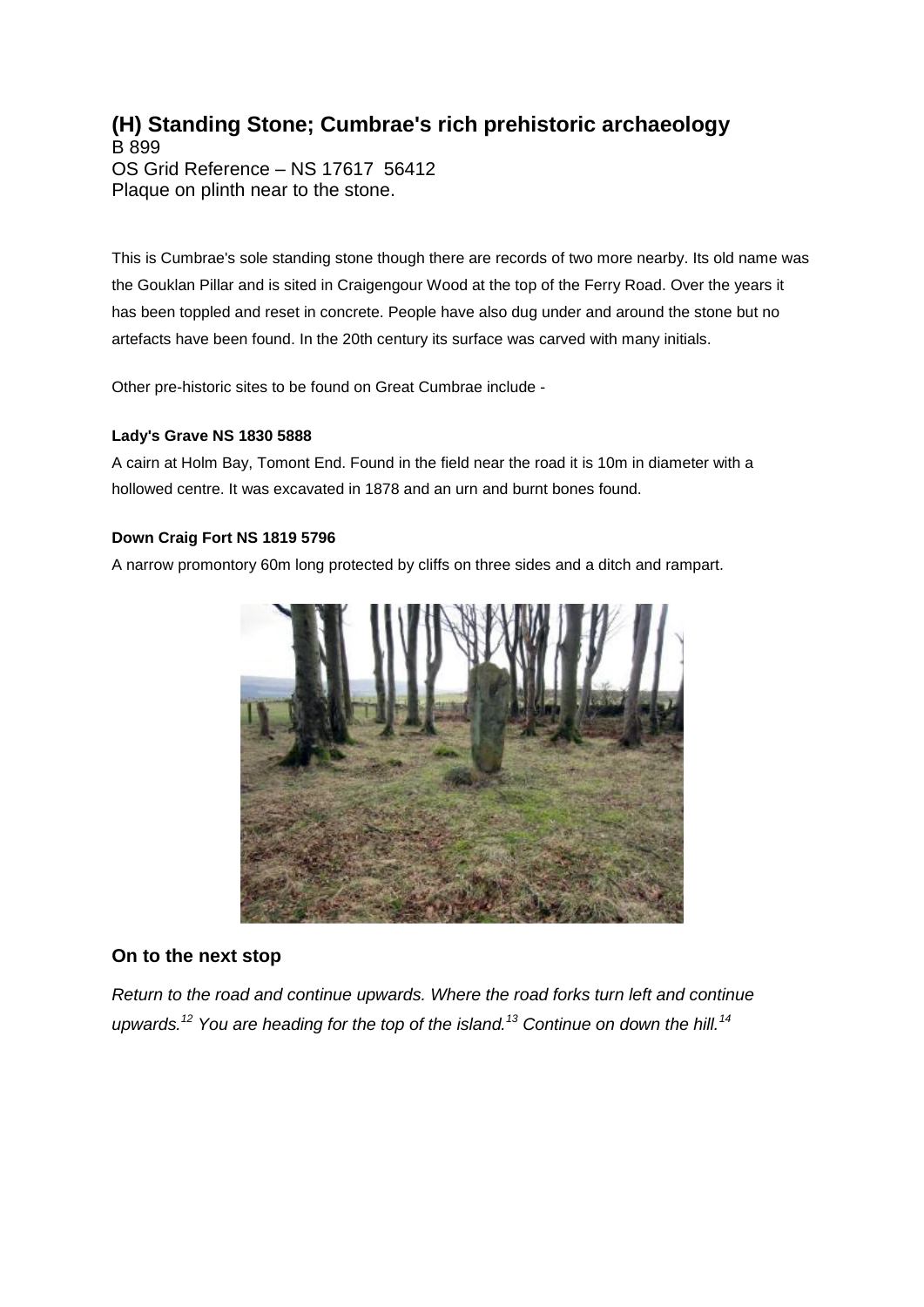# **(H) Standing Stone; Cumbrae's rich prehistoric archaeology**

B 899 OS Grid Reference – NS 17617 56412 Plaque on plinth near to the stone.

This is Cumbrae's sole standing stone though there are records of two more nearby. Its old name was the Gouklan Pillar and is sited in Craigengour Wood at the top of the Ferry Road. Over the years it has been toppled and reset in concrete. People have also dug under and around the stone but no artefacts have been found. In the 20th century its surface was carved with many initials.

Other pre-historic sites to be found on Great Cumbrae include -

### **Lady's Grave NS 1830 5888**

A cairn at Holm Bay, Tomont End. Found in the field near the road it is 10m in diameter with a hollowed centre. It was excavated in 1878 and an urn and burnt bones found.

### **Down Craig Fort NS 1819 5796**

A narrow promontory 60m long protected by cliffs on three sides and a ditch and rampart.



## **On to the next stop**

*Return to the road and continue upwards. Where the road forks turn left and continue upwards.<sup>12</sup> You are heading for the top of the island.<sup>13</sup> Continue on down the hill.<sup>14</sup>*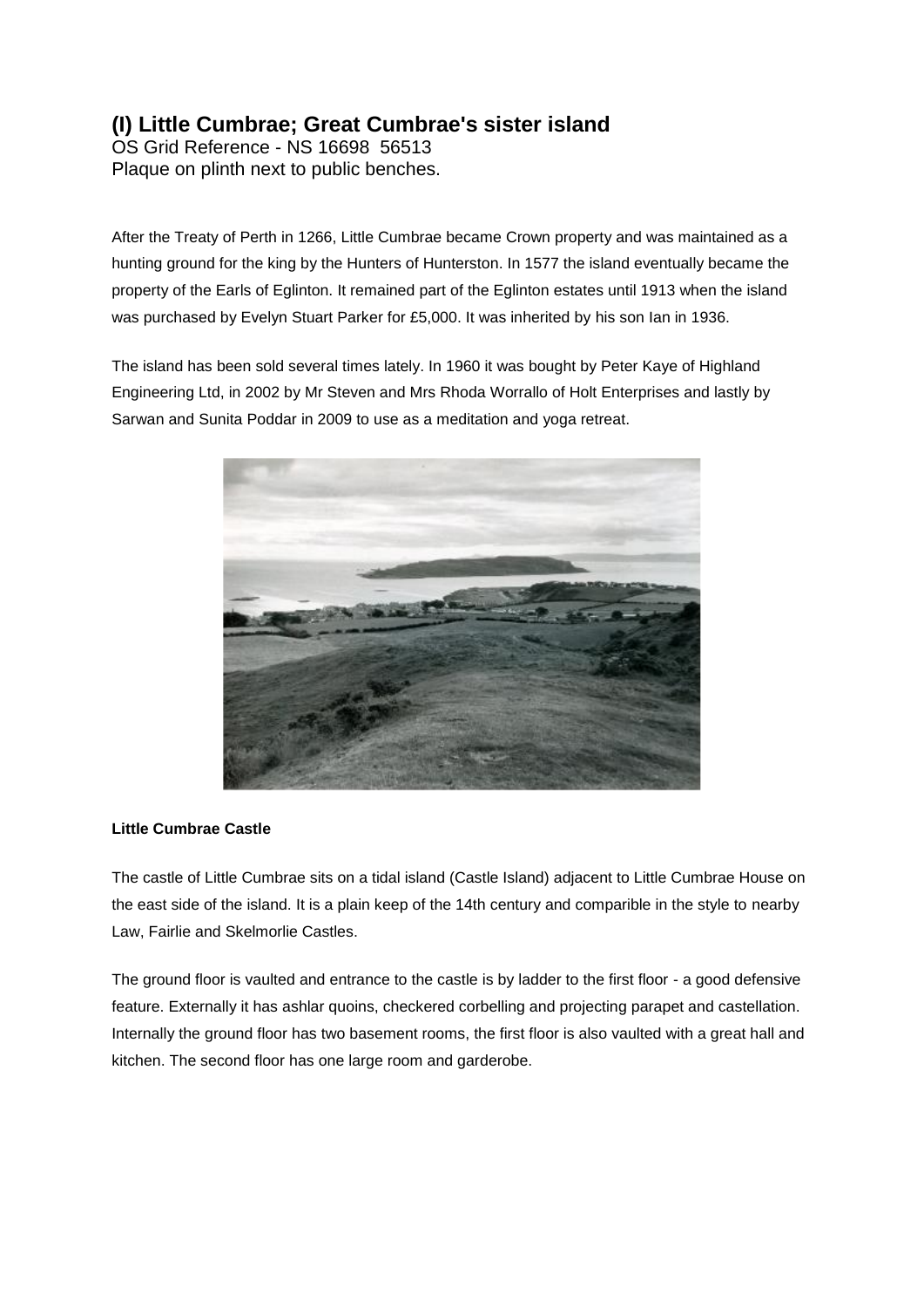# **(I) Little Cumbrae; Great Cumbrae's sister island**

OS Grid Reference - NS 16698 56513 Plaque on plinth next to public benches.

After the Treaty of Perth in 1266, Little Cumbrae became Crown property and was maintained as a hunting ground for the king by the Hunters of Hunterston. In 1577 the island eventually became the property of the Earls of Eglinton. It remained part of the Eglinton estates until 1913 when the island was purchased by Evelyn Stuart Parker for £5,000. It was inherited by his son Ian in 1936.

The island has been sold several times lately. In 1960 it was bought by Peter Kaye of Highland Engineering Ltd, in 2002 by Mr Steven and Mrs Rhoda Worrallo of Holt Enterprises and lastly by Sarwan and Sunita Poddar in 2009 to use as a meditation and yoga retreat.



#### **Little Cumbrae Castle**

The castle of Little Cumbrae sits on a tidal island (Castle Island) adjacent to Little Cumbrae House on the east side of the island. It is a plain keep of the 14th century and comparible in the style to nearby Law, Fairlie and Skelmorlie Castles.

The ground floor is vaulted and entrance to the castle is by ladder to the first floor - a good defensive feature. Externally it has ashlar quoins, checkered corbelling and projecting parapet and castellation. Internally the ground floor has two basement rooms, the first floor is also vaulted with a great hall and kitchen. The second floor has one large room and garderobe.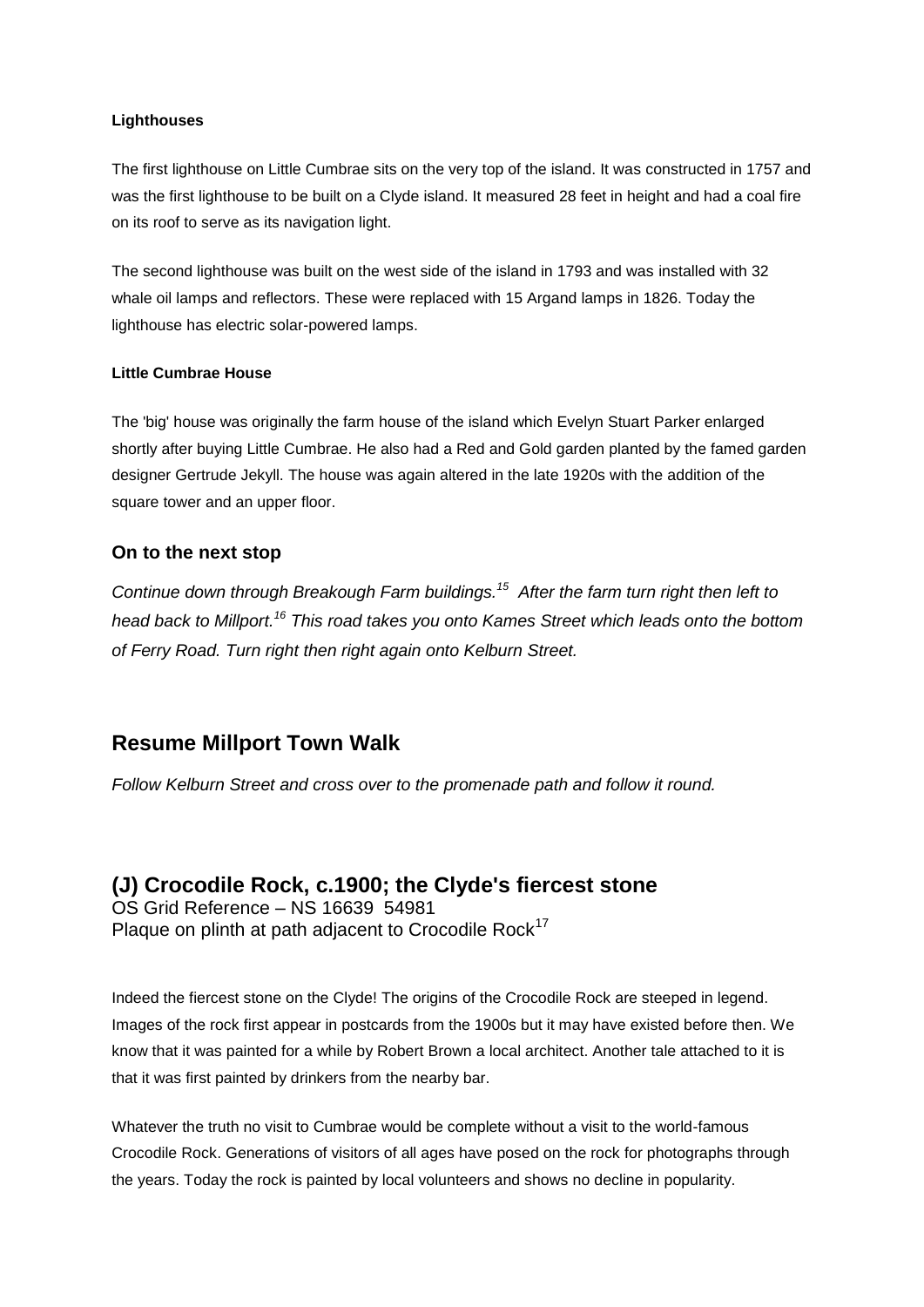#### **Lighthouses**

The first lighthouse on Little Cumbrae sits on the very top of the island. It was constructed in 1757 and was the first lighthouse to be built on a Clyde island. It measured 28 feet in height and had a coal fire on its roof to serve as its navigation light.

The second lighthouse was built on the west side of the island in 1793 and was installed with 32 whale oil lamps and reflectors. These were replaced with 15 Argand lamps in 1826. Today the lighthouse has electric solar-powered lamps.

#### **Little Cumbrae House**

The 'big' house was originally the farm house of the island which Evelyn Stuart Parker enlarged shortly after buying Little Cumbrae. He also had a Red and Gold garden planted by the famed garden designer Gertrude Jekyll. The house was again altered in the late 1920s with the addition of the square tower and an upper floor.

## **On to the next stop**

*Continue down through Breakough Farm buildings.<sup>15</sup> After the farm turn right then left to head back to Millport.<sup>16</sup> This road takes you onto Kames Street which leads onto the bottom of Ferry Road. Turn right then right again onto Kelburn Street.*

# **Resume Millport Town Walk**

*Follow Kelburn Street and cross over to the promenade path and follow it round.*

**(J) Crocodile Rock, c.1900; the Clyde's fiercest stone** OS Grid Reference – NS 16639 54981 Plaque on plinth at path adjacent to Crocodile Rock<sup>17</sup>

Indeed the fiercest stone on the Clyde! The origins of the Crocodile Rock are steeped in legend. Images of the rock first appear in postcards from the 1900s but it may have existed before then. We know that it was painted for a while by Robert Brown a local architect. Another tale attached to it is that it was first painted by drinkers from the nearby bar.

Whatever the truth no visit to Cumbrae would be complete without a visit to the world-famous Crocodile Rock. Generations of visitors of all ages have posed on the rock for photographs through the years. Today the rock is painted by local volunteers and shows no decline in popularity.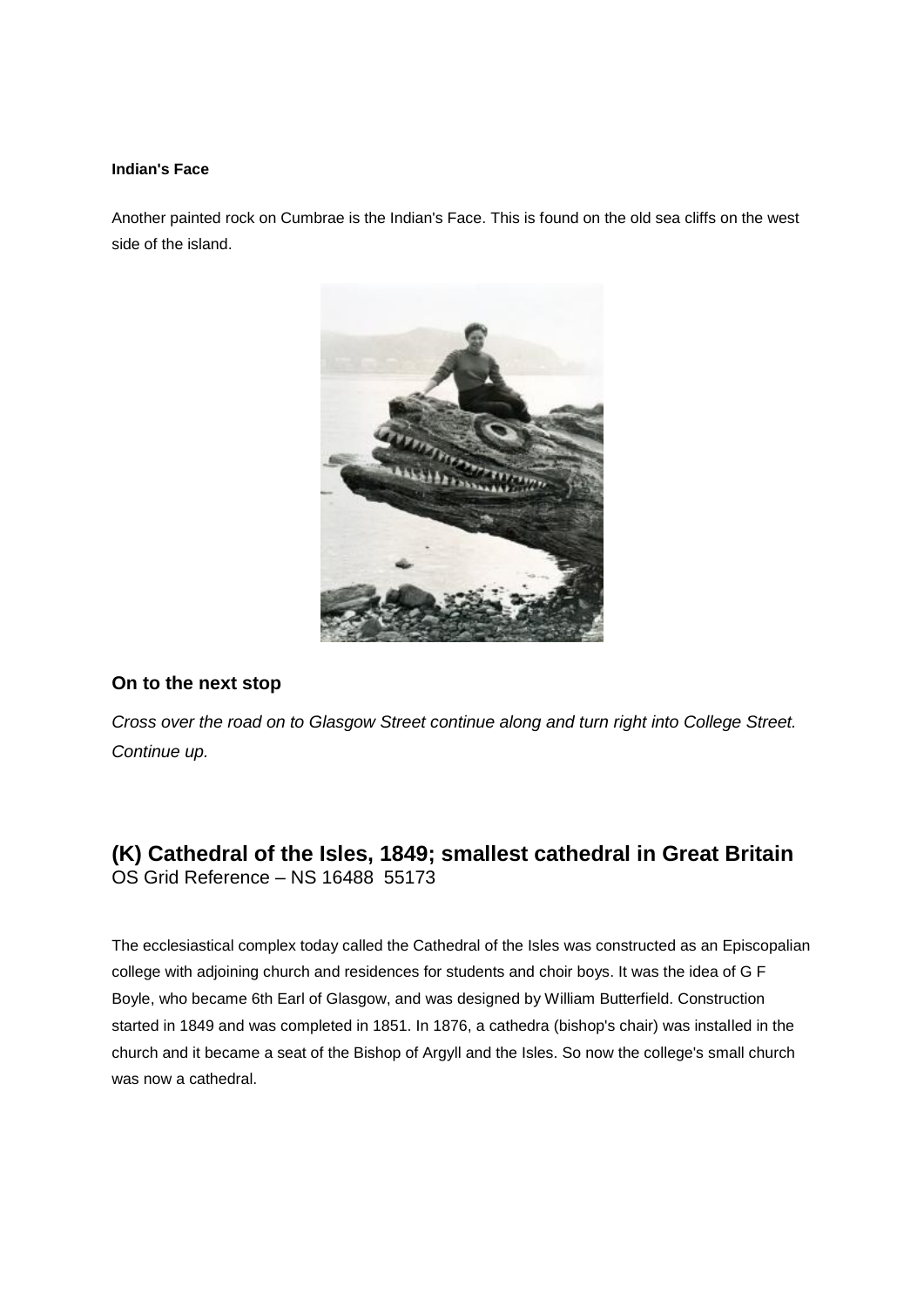#### **Indian's Face**

Another painted rock on Cumbrae is the Indian's Face. This is found on the old sea cliffs on the west side of the island.



## **On to the next stop**

*Cross over the road on to Glasgow Street continue along and turn right into College Street. Continue up.*

# **(K) Cathedral of the Isles, 1849; smallest cathedral in Great Britain** OS Grid Reference – NS 16488 55173

The ecclesiastical complex today called the Cathedral of the Isles was constructed as an Episcopalian college with adjoining church and residences for students and choir boys. It was the idea of G F Boyle, who became 6th Earl of Glasgow, and was designed by William Butterfield. Construction started in 1849 and was completed in 1851. In 1876, a cathedra (bishop's chair) was installed in the church and it became a seat of the Bishop of Argyll and the Isles. So now the college's small church was now a cathedral.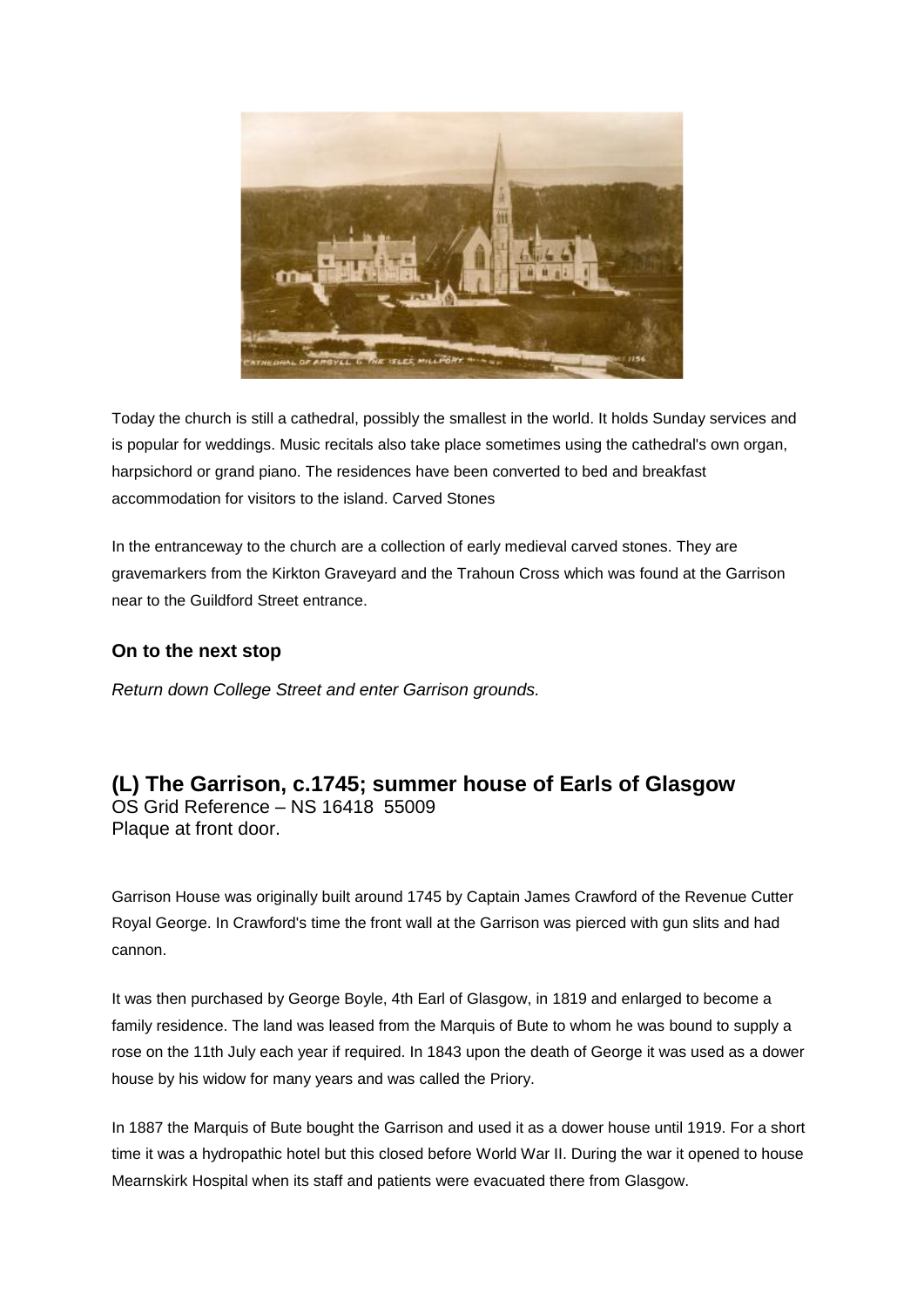

Today the church is still a cathedral, possibly the smallest in the world. It holds Sunday services and is popular for weddings. Music recitals also take place sometimes using the cathedral's own organ, harpsichord or grand piano. The residences have been converted to bed and breakfast accommodation for visitors to the island. Carved Stones

In the entranceway to the church are a collection of early medieval carved stones. They are gravemarkers from the Kirkton Graveyard and the Trahoun Cross which was found at the Garrison near to the Guildford Street entrance.

## **On to the next stop**

*Return down College Street and enter Garrison grounds.*

**(L) The Garrison, c.1745; summer house of Earls of Glasgow** OS Grid Reference – NS 16418 55009 Plaque at front door.

Garrison House was originally built around 1745 by Captain James Crawford of the Revenue Cutter Royal George. In Crawford's time the front wall at the Garrison was pierced with gun slits and had cannon.

It was then purchased by George Boyle, 4th Earl of Glasgow, in 1819 and enlarged to become a family residence. The land was leased from the Marquis of Bute to whom he was bound to supply a rose on the 11th July each year if required. In 1843 upon the death of George it was used as a dower house by his widow for many years and was called the Priory.

In 1887 the Marquis of Bute bought the Garrison and used it as a dower house until 1919. For a short time it was a hydropathic hotel but this closed before World War II. During the war it opened to house Mearnskirk Hospital when its staff and patients were evacuated there from Glasgow.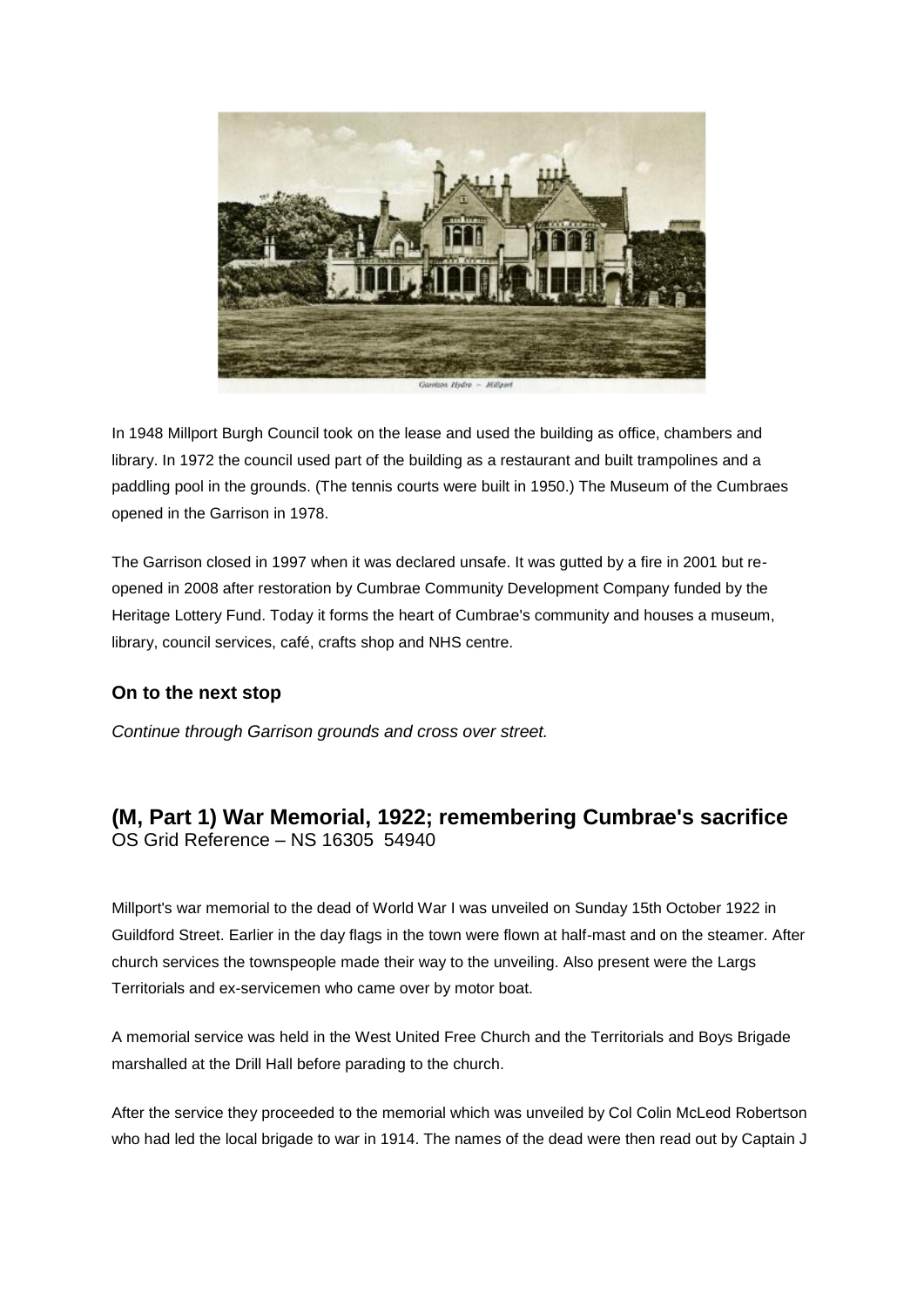

In 1948 Millport Burgh Council took on the lease and used the building as office, chambers and library. In 1972 the council used part of the building as a restaurant and built trampolines and a paddling pool in the grounds. (The tennis courts were built in 1950.) The Museum of the Cumbraes opened in the Garrison in 1978.

The Garrison closed in 1997 when it was declared unsafe. It was gutted by a fire in 2001 but reopened in 2008 after restoration by Cumbrae Community Development Company funded by the Heritage Lottery Fund. Today it forms the heart of Cumbrae's community and houses a museum, library, council services, café, crafts shop and NHS centre.

## **On to the next stop**

*Continue through Garrison grounds and cross over street.*

# **(M, Part 1) War Memorial, 1922; remembering Cumbrae's sacrifice** OS Grid Reference – NS 16305 54940

Millport's war memorial to the dead of World War I was unveiled on Sunday 15th October 1922 in Guildford Street. Earlier in the day flags in the town were flown at half-mast and on the steamer. After church services the townspeople made their way to the unveiling. Also present were the Largs Territorials and ex-servicemen who came over by motor boat.

A memorial service was held in the West United Free Church and the Territorials and Boys Brigade marshalled at the Drill Hall before parading to the church.

After the service they proceeded to the memorial which was unveiled by Col Colin McLeod Robertson who had led the local brigade to war in 1914. The names of the dead were then read out by Captain J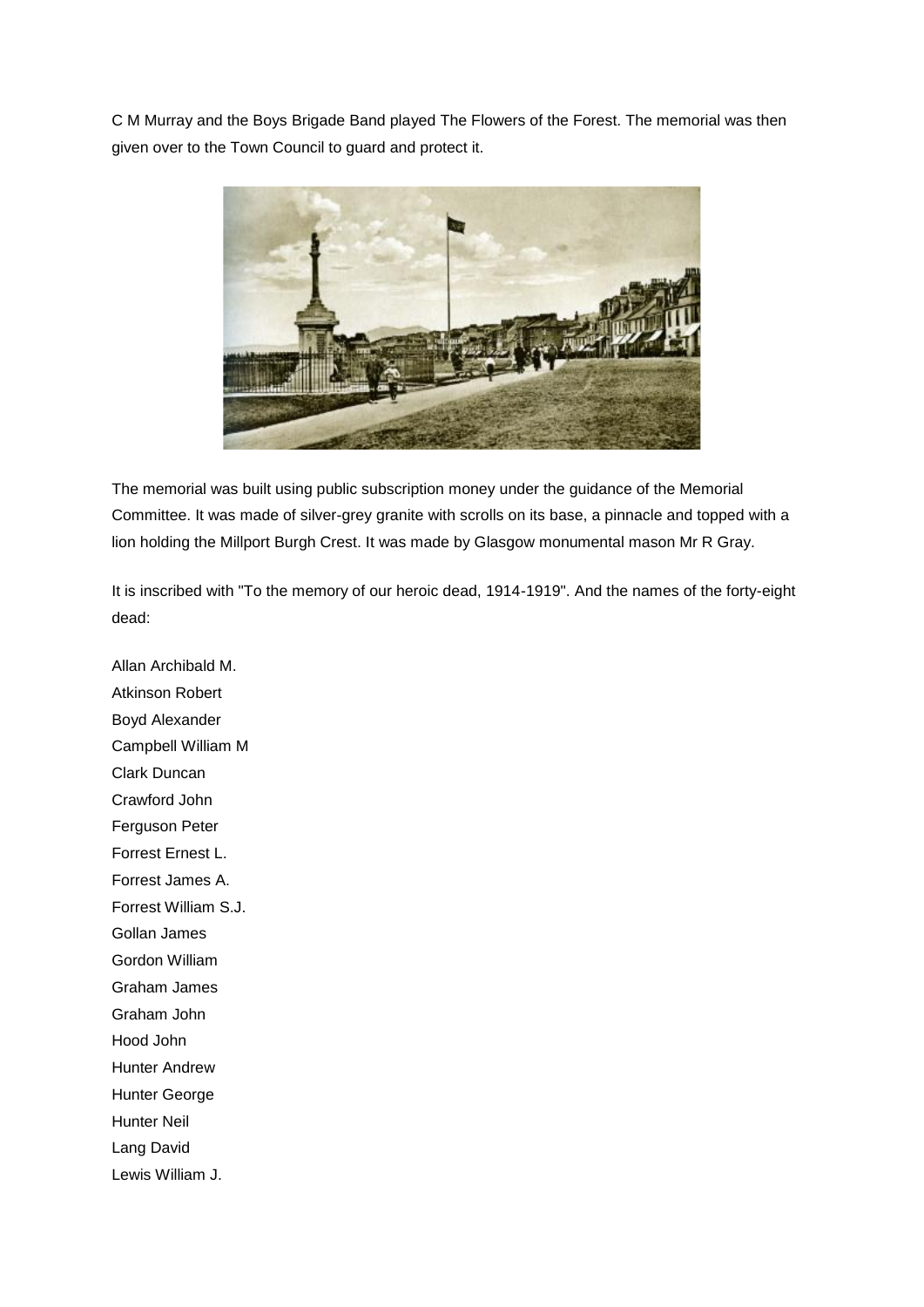C M Murray and the Boys Brigade Band played The Flowers of the Forest. The memorial was then given over to the Town Council to guard and protect it.



The memorial was built using public subscription money under the guidance of the Memorial Committee. It was made of silver-grey granite with scrolls on its base, a pinnacle and topped with a lion holding the Millport Burgh Crest. It was made by Glasgow monumental mason Mr R Gray.

It is inscribed with "To the memory of our heroic dead, 1914-1919". And the names of the forty-eight dead:

Allan Archibald M. Atkinson Robert Boyd Alexander Campbell William M Clark Duncan Crawford John Ferguson Peter Forrest Ernest L. Forrest James A. Forrest William S.J. Gollan James Gordon William Graham James Graham John Hood John Hunter Andrew Hunter George Hunter Neil Lang David Lewis William J.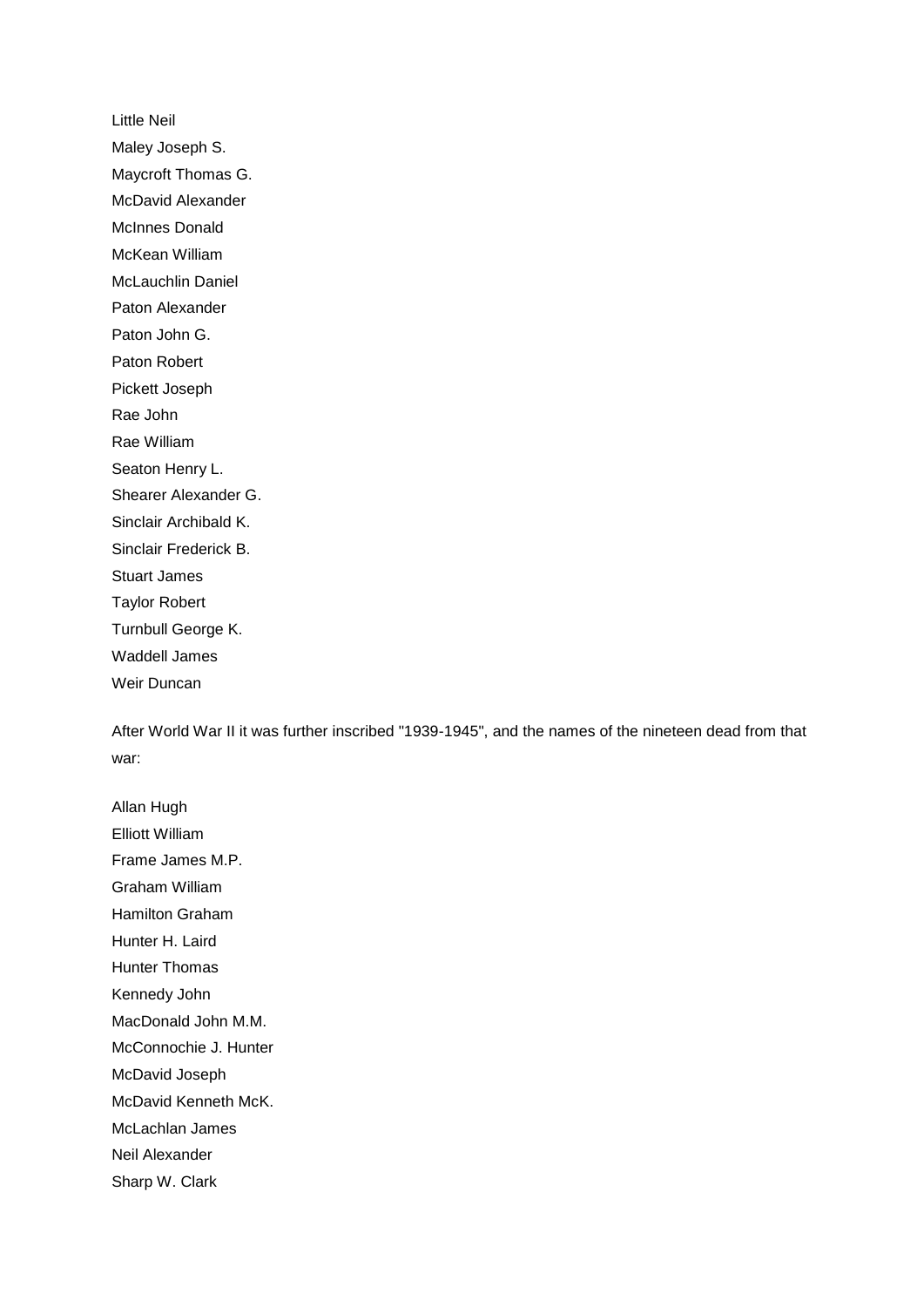Little Neil Maley Joseph S. Maycroft Thomas G. McDavid Alexander McInnes Donald McKean William McLauchlin Daniel Paton Alexander Paton John G. Paton Robert Pickett Joseph Rae John Rae William Seaton Henry L. Shearer Alexander G. Sinclair Archibald K. Sinclair Frederick B. Stuart James Taylor Robert Turnbull George K. Waddell James Weir Duncan

After World War II it was further inscribed "1939-1945", and the names of the nineteen dead from that war:

Allan Hugh Elliott William Frame James M.P. Graham William Hamilton Graham Hunter H. Laird Hunter Thomas Kennedy John MacDonald John M.M. McConnochie J. Hunter McDavid Joseph McDavid Kenneth McK. McLachlan James Neil Alexander Sharp W. Clark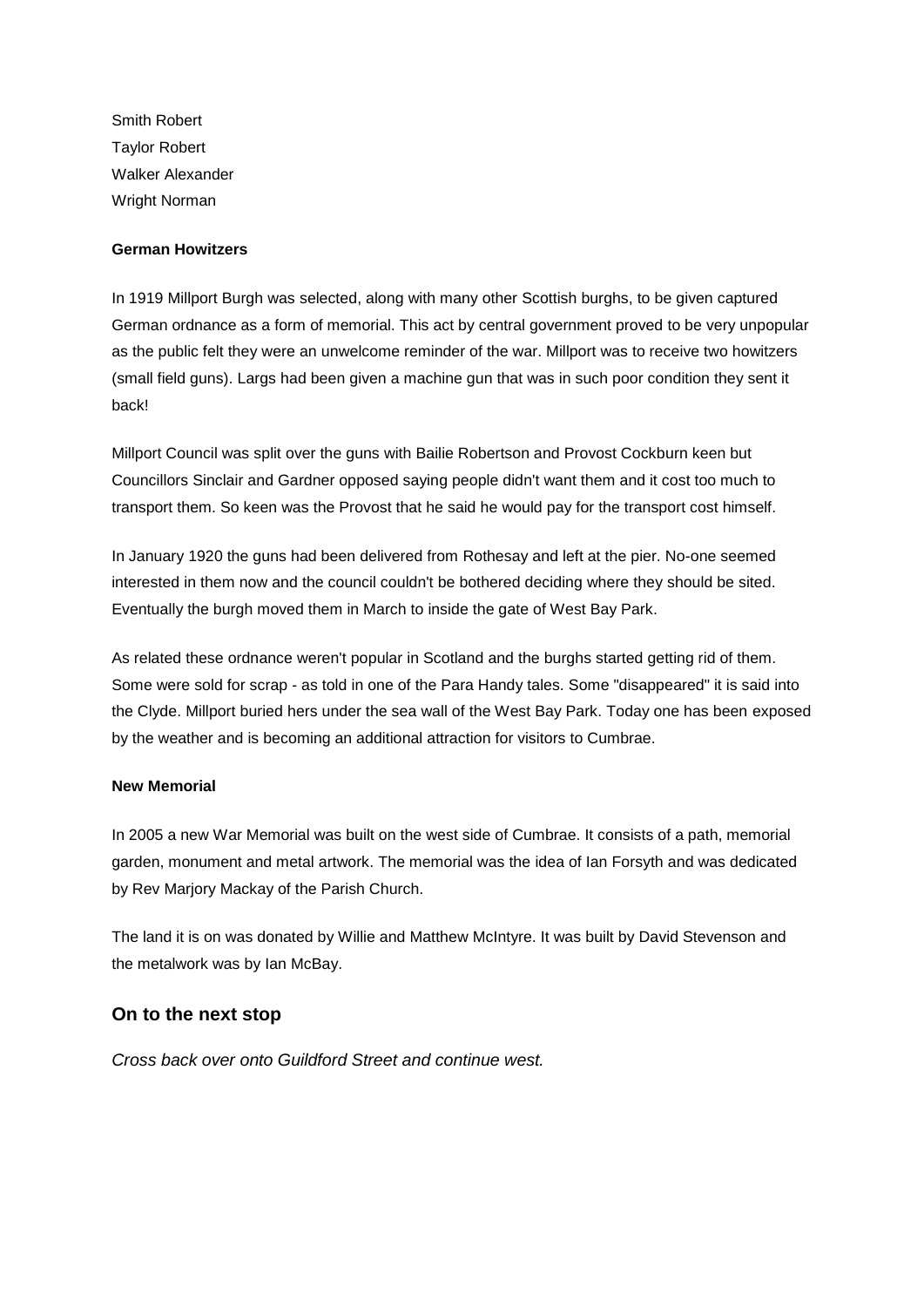Smith Robert Taylor Robert Walker Alexander Wright Norman

#### **German Howitzers**

In 1919 Millport Burgh was selected, along with many other Scottish burghs, to be given captured German ordnance as a form of memorial. This act by central government proved to be very unpopular as the public felt they were an unwelcome reminder of the war. Millport was to receive two howitzers (small field guns). Largs had been given a machine gun that was in such poor condition they sent it back!

Millport Council was split over the guns with Bailie Robertson and Provost Cockburn keen but Councillors Sinclair and Gardner opposed saying people didn't want them and it cost too much to transport them. So keen was the Provost that he said he would pay for the transport cost himself.

In January 1920 the guns had been delivered from Rothesay and left at the pier. No-one seemed interested in them now and the council couldn't be bothered deciding where they should be sited. Eventually the burgh moved them in March to inside the gate of West Bay Park.

As related these ordnance weren't popular in Scotland and the burghs started getting rid of them. Some were sold for scrap - as told in one of the Para Handy tales. Some "disappeared" it is said into the Clyde. Millport buried hers under the sea wall of the West Bay Park. Today one has been exposed by the weather and is becoming an additional attraction for visitors to Cumbrae.

#### **New Memorial**

In 2005 a new War Memorial was built on the west side of Cumbrae. It consists of a path, memorial garden, monument and metal artwork. The memorial was the idea of Ian Forsyth and was dedicated by Rev Marjory Mackay of the Parish Church.

The land it is on was donated by Willie and Matthew McIntyre. It was built by David Stevenson and the metalwork was by Ian McBay.

## **On to the next stop**

*Cross back over onto Guildford Street and continue west.*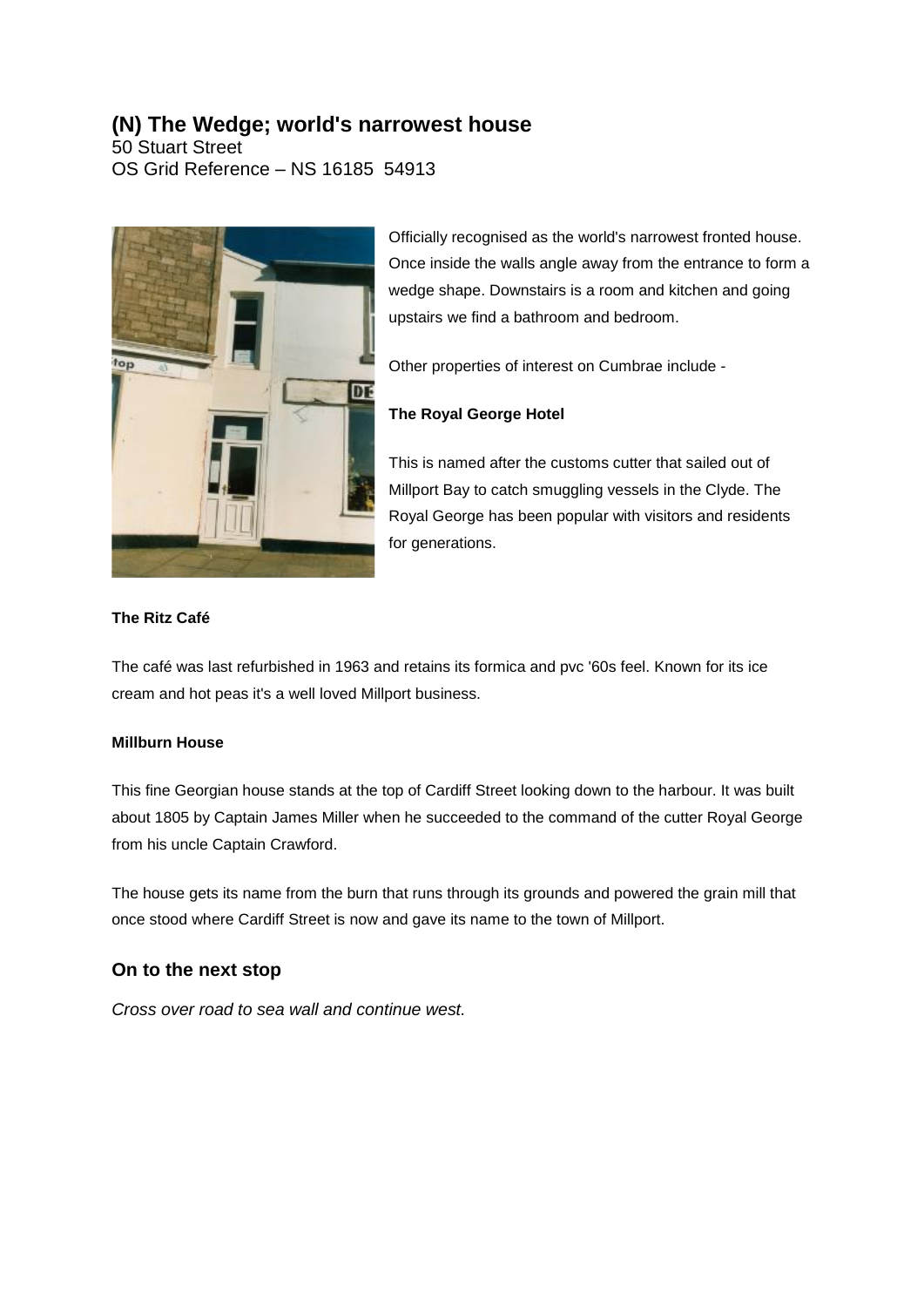# **(N) The Wedge; world's narrowest house**

50 Stuart Street OS Grid Reference – NS 16185 54913



Officially recognised as the world's narrowest fronted house. Once inside the walls angle away from the entrance to form a wedge shape. Downstairs is a room and kitchen and going upstairs we find a bathroom and bedroom.

Other properties of interest on Cumbrae include -

## **The Royal George Hotel**

This is named after the customs cutter that sailed out of Millport Bay to catch smuggling vessels in the Clyde. The Royal George has been popular with visitors and residents for generations.

#### **The Ritz Café**

The café was last refurbished in 1963 and retains its formica and pvc '60s feel. Known for its ice cream and hot peas it's a well loved Millport business.

#### **Millburn House**

This fine Georgian house stands at the top of Cardiff Street looking down to the harbour. It was built about 1805 by Captain James Miller when he succeeded to the command of the cutter Royal George from his uncle Captain Crawford.

The house gets its name from the burn that runs through its grounds and powered the grain mill that once stood where Cardiff Street is now and gave its name to the town of Millport.

## **On to the next stop**

*Cross over road to sea wall and continue west.*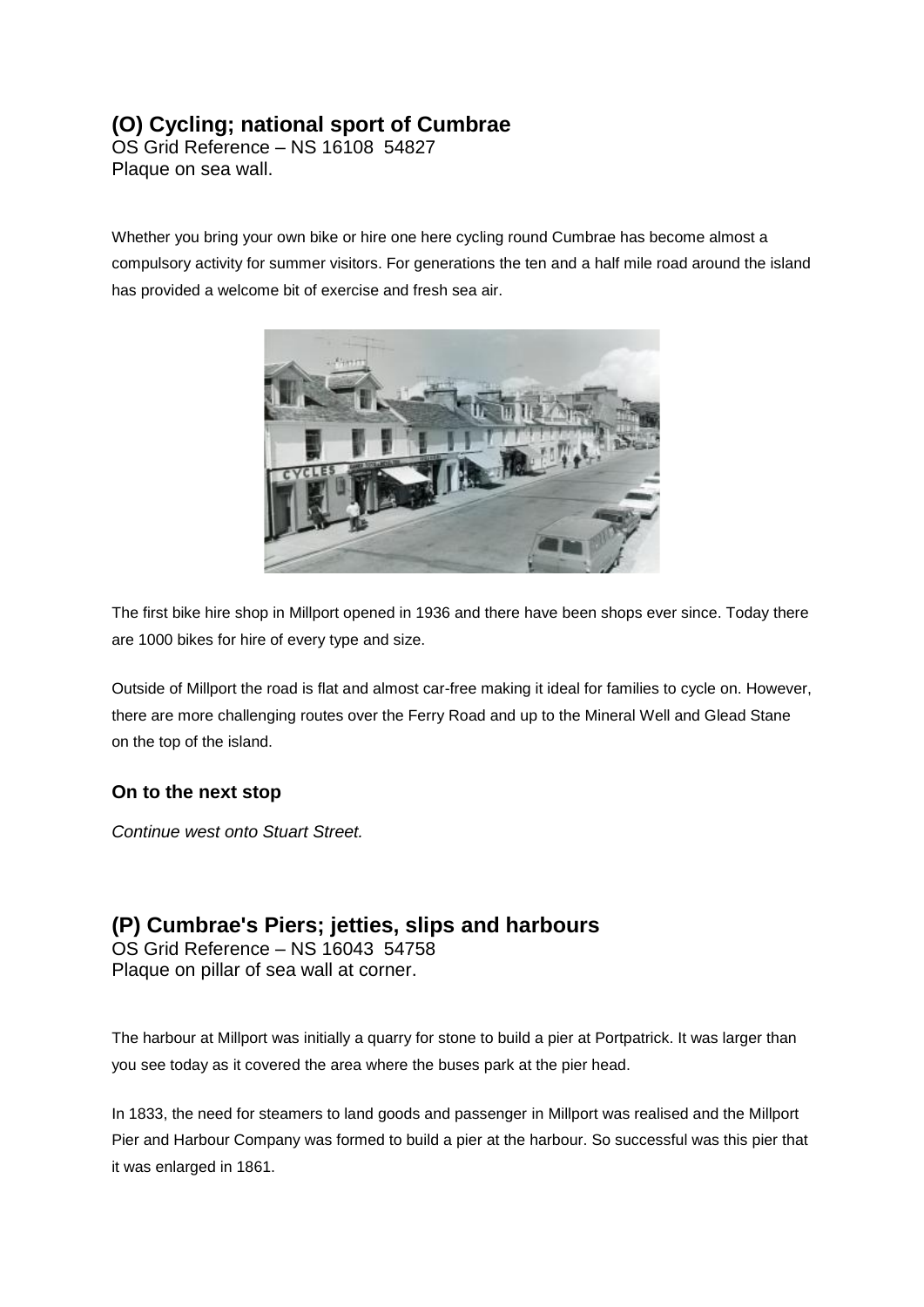# **(O) Cycling; national sport of Cumbrae**

OS Grid Reference – NS 16108 54827 Plaque on sea wall.

Whether you bring your own bike or hire one here cycling round Cumbrae has become almost a compulsory activity for summer visitors. For generations the ten and a half mile road around the island has provided a welcome bit of exercise and fresh sea air.



The first bike hire shop in Millport opened in 1936 and there have been shops ever since. Today there are 1000 bikes for hire of every type and size.

Outside of Millport the road is flat and almost car-free making it ideal for families to cycle on. However, there are more challenging routes over the Ferry Road and up to the Mineral Well and Glead Stane on the top of the island.

## **On to the next stop**

*Continue west onto Stuart Street.*

# **(P) Cumbrae's Piers; jetties, slips and harbours**

OS Grid Reference – NS 16043 54758 Plaque on pillar of sea wall at corner.

The harbour at Millport was initially a quarry for stone to build a pier at Portpatrick. It was larger than you see today as it covered the area where the buses park at the pier head.

In 1833, the need for steamers to land goods and passenger in Millport was realised and the Millport Pier and Harbour Company was formed to build a pier at the harbour. So successful was this pier that it was enlarged in 1861.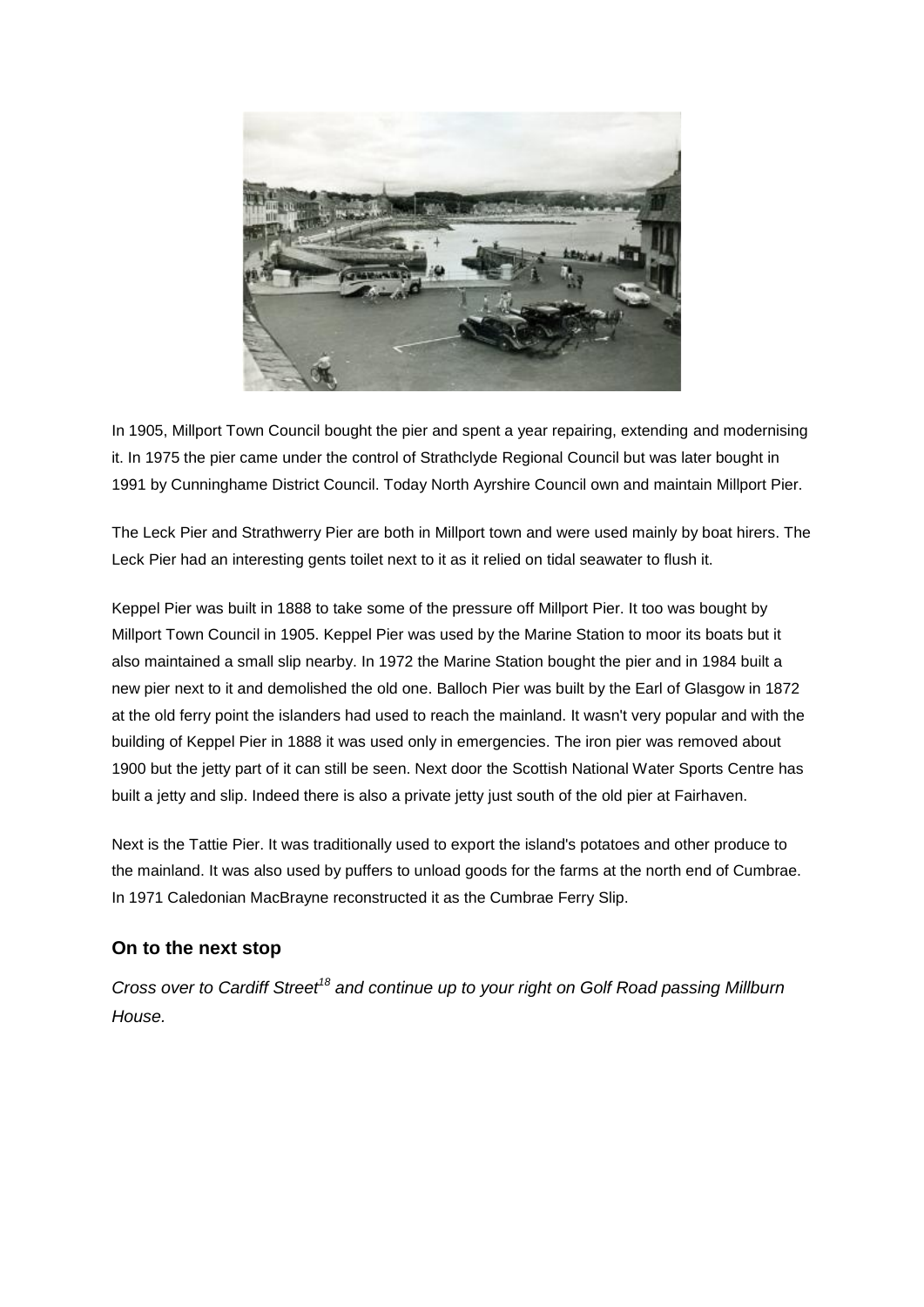

In 1905, Millport Town Council bought the pier and spent a year repairing, extending and modernising it. In 1975 the pier came under the control of Strathclyde Regional Council but was later bought in 1991 by Cunninghame District Council. Today North Ayrshire Council own and maintain Millport Pier.

The Leck Pier and Strathwerry Pier are both in Millport town and were used mainly by boat hirers. The Leck Pier had an interesting gents toilet next to it as it relied on tidal seawater to flush it.

Keppel Pier was built in 1888 to take some of the pressure off Millport Pier. It too was bought by Millport Town Council in 1905. Keppel Pier was used by the Marine Station to moor its boats but it also maintained a small slip nearby. In 1972 the Marine Station bought the pier and in 1984 built a new pier next to it and demolished the old one. Balloch Pier was built by the Earl of Glasgow in 1872 at the old ferry point the islanders had used to reach the mainland. It wasn't very popular and with the building of Keppel Pier in 1888 it was used only in emergencies. The iron pier was removed about 1900 but the jetty part of it can still be seen. Next door the Scottish National Water Sports Centre has built a jetty and slip. Indeed there is also a private jetty just south of the old pier at Fairhaven.

Next is the Tattie Pier. It was traditionally used to export the island's potatoes and other produce to the mainland. It was also used by puffers to unload goods for the farms at the north end of Cumbrae. In 1971 Caledonian MacBrayne reconstructed it as the Cumbrae Ferry Slip.

## **On to the next stop**

*Cross over to Cardiff Street<sup>18</sup> and continue up to your right on Golf Road passing Millburn House.*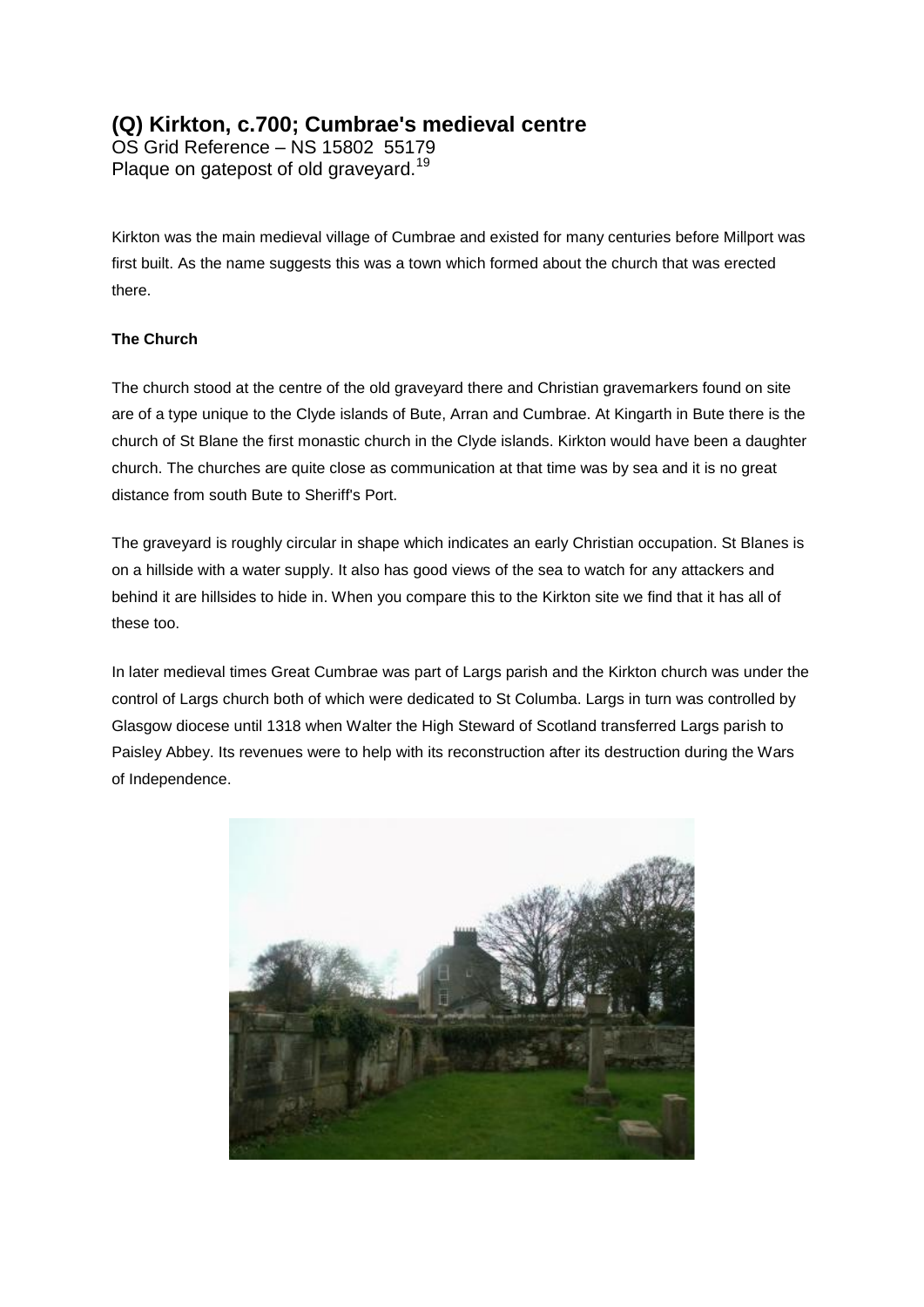# **(Q) Kirkton, c.700; Cumbrae's medieval centre**

OS Grid Reference – NS 15802 55179 Plaque on gatepost of old graveyard.<sup>19</sup>

Kirkton was the main medieval village of Cumbrae and existed for many centuries before Millport was first built. As the name suggests this was a town which formed about the church that was erected there.

## **The Church**

The church stood at the centre of the old graveyard there and Christian gravemarkers found on site are of a type unique to the Clyde islands of Bute, Arran and Cumbrae. At Kingarth in Bute there is the church of St Blane the first monastic church in the Clyde islands. Kirkton would have been a daughter church. The churches are quite close as communication at that time was by sea and it is no great distance from south Bute to Sheriff's Port.

The graveyard is roughly circular in shape which indicates an early Christian occupation. St Blanes is on a hillside with a water supply. It also has good views of the sea to watch for any attackers and behind it are hillsides to hide in. When you compare this to the Kirkton site we find that it has all of these too.

In later medieval times Great Cumbrae was part of Largs parish and the Kirkton church was under the control of Largs church both of which were dedicated to St Columba. Largs in turn was controlled by Glasgow diocese until 1318 when Walter the High Steward of Scotland transferred Largs parish to Paisley Abbey. Its revenues were to help with its reconstruction after its destruction during the Wars of Independence.

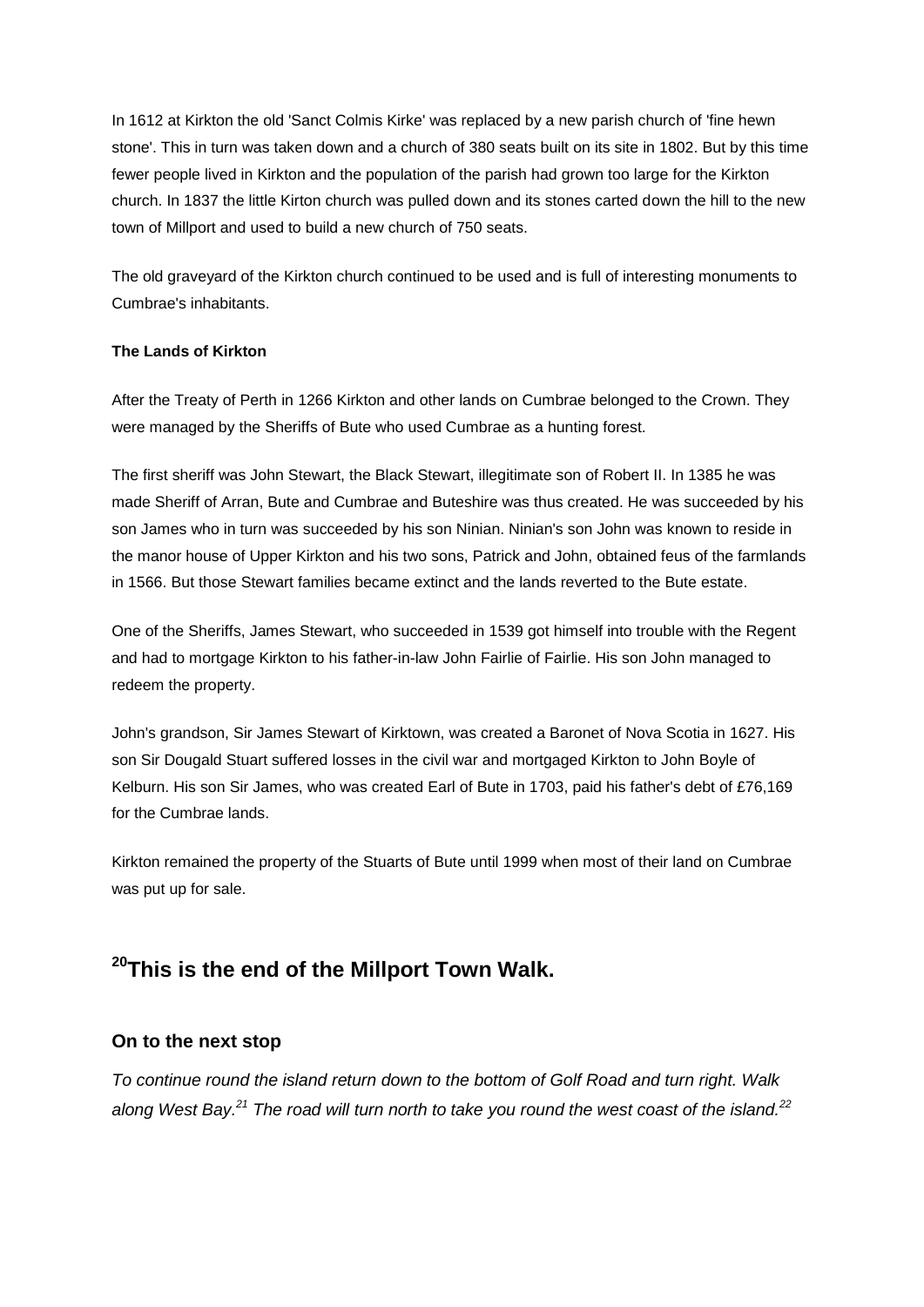In 1612 at Kirkton the old 'Sanct Colmis Kirke' was replaced by a new parish church of 'fine hewn stone'. This in turn was taken down and a church of 380 seats built on its site in 1802. But by this time fewer people lived in Kirkton and the population of the parish had grown too large for the Kirkton church. In 1837 the little Kirton church was pulled down and its stones carted down the hill to the new town of Millport and used to build a new church of 750 seats.

The old graveyard of the Kirkton church continued to be used and is full of interesting monuments to Cumbrae's inhabitants.

### **The Lands of Kirkton**

After the Treaty of Perth in 1266 Kirkton and other lands on Cumbrae belonged to the Crown. They were managed by the Sheriffs of Bute who used Cumbrae as a hunting forest.

The first sheriff was John Stewart, the Black Stewart, illegitimate son of Robert II. In 1385 he was made Sheriff of Arran, Bute and Cumbrae and Buteshire was thus created. He was succeeded by his son James who in turn was succeeded by his son Ninian. Ninian's son John was known to reside in the manor house of Upper Kirkton and his two sons, Patrick and John, obtained feus of the farmlands in 1566. But those Stewart families became extinct and the lands reverted to the Bute estate.

One of the Sheriffs, James Stewart, who succeeded in 1539 got himself into trouble with the Regent and had to mortgage Kirkton to his father-in-law John Fairlie of Fairlie. His son John managed to redeem the property.

John's grandson, Sir James Stewart of Kirktown, was created a Baronet of Nova Scotia in 1627. His son Sir Dougald Stuart suffered losses in the civil war and mortgaged Kirkton to John Boyle of Kelburn. His son Sir James, who was created Earl of Bute in 1703, paid his father's debt of £76,169 for the Cumbrae lands.

Kirkton remained the property of the Stuarts of Bute until 1999 when most of their land on Cumbrae was put up for sale.

# **<sup>20</sup>This is the end of the Millport Town Walk.**

## **On to the next stop**

*To continue round the island return down to the bottom of Golf Road and turn right. Walk along West Bay.<sup>21</sup> The road will turn north to take you round the west coast of the island.<sup>22</sup>*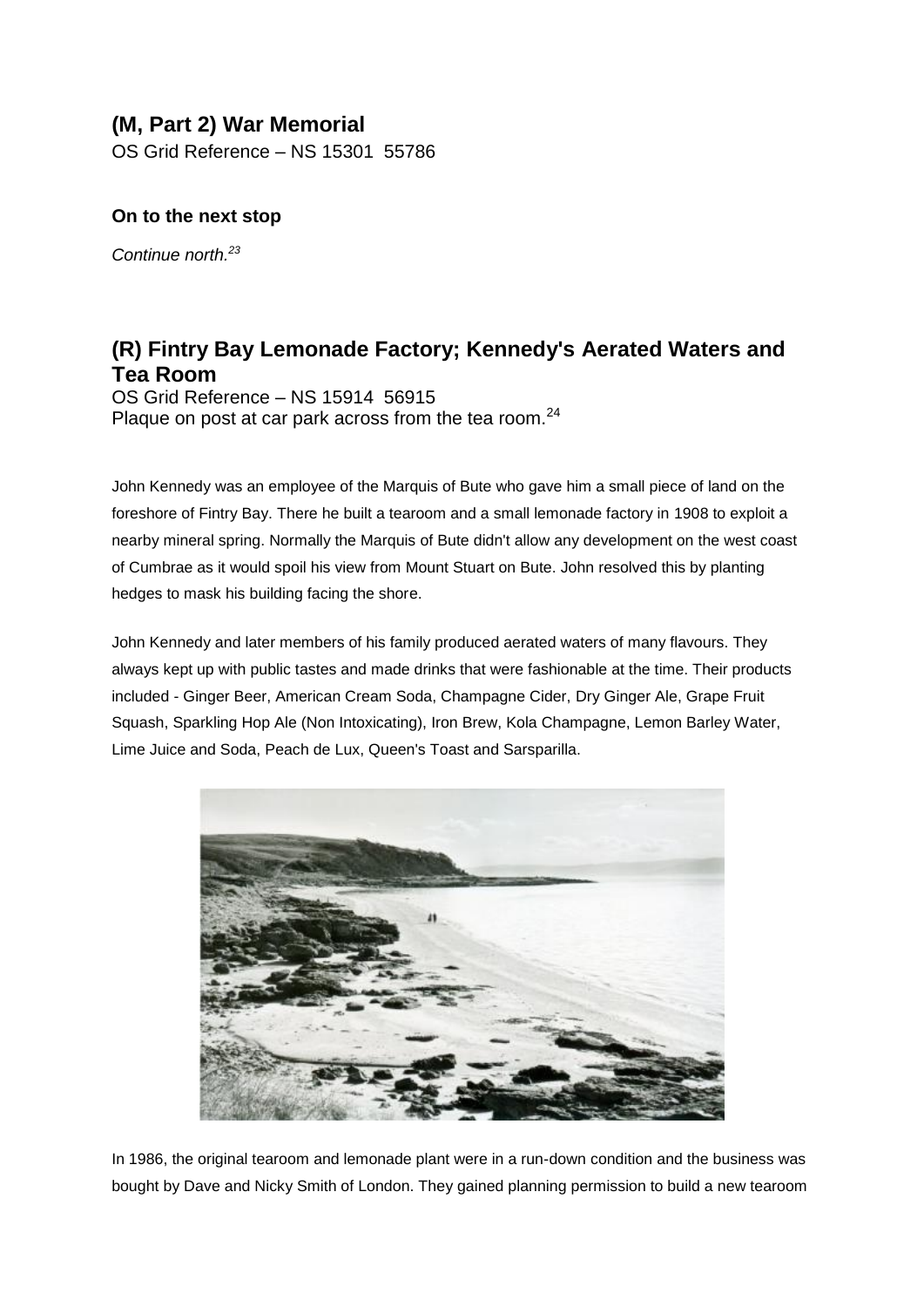# **(M, Part 2) War Memorial**

OS Grid Reference – NS 15301 55786

## **On to the next stop**

*Continue north.<sup>23</sup>*

# **(R) Fintry Bay Lemonade Factory; Kennedy's Aerated Waters and Tea Room**

OS Grid Reference – NS 15914 56915 Plaque on post at car park across from the tea room.<sup>24</sup>

John Kennedy was an employee of the Marquis of Bute who gave him a small piece of land on the foreshore of Fintry Bay. There he built a tearoom and a small lemonade factory in 1908 to exploit a nearby mineral spring. Normally the Marquis of Bute didn't allow any development on the west coast of Cumbrae as it would spoil his view from Mount Stuart on Bute. John resolved this by planting hedges to mask his building facing the shore.

John Kennedy and later members of his family produced aerated waters of many flavours. They always kept up with public tastes and made drinks that were fashionable at the time. Their products included - Ginger Beer, American Cream Soda, Champagne Cider, Dry Ginger Ale, Grape Fruit Squash, Sparkling Hop Ale (Non Intoxicating), Iron Brew, Kola Champagne, Lemon Barley Water, Lime Juice and Soda, Peach de Lux, Queen's Toast and Sarsparilla.



In 1986, the original tearoom and lemonade plant were in a run-down condition and the business was bought by Dave and Nicky Smith of London. They gained planning permission to build a new tearoom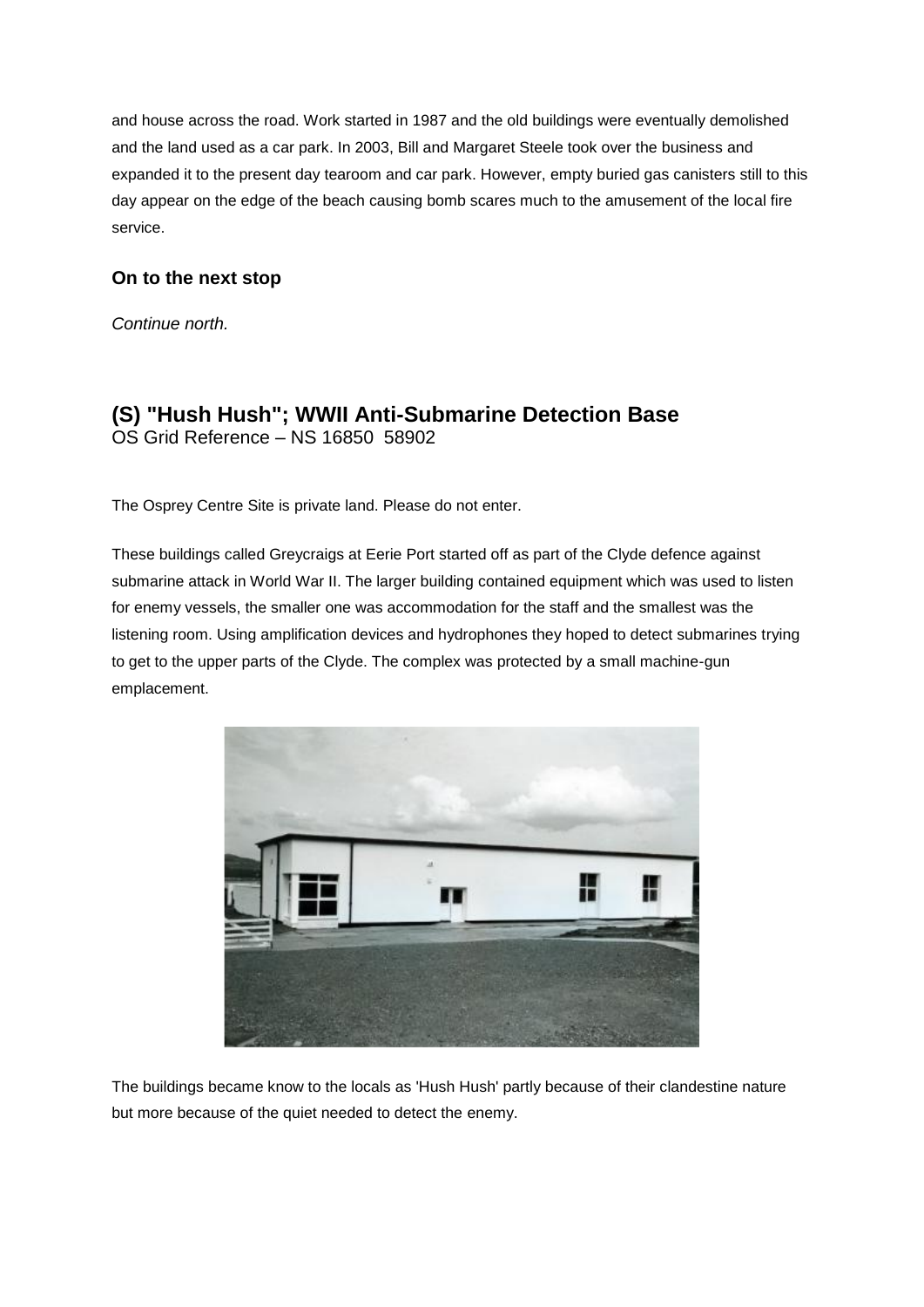and house across the road. Work started in 1987 and the old buildings were eventually demolished and the land used as a car park. In 2003, Bill and Margaret Steele took over the business and expanded it to the present day tearoom and car park. However, empty buried gas canisters still to this day appear on the edge of the beach causing bomb scares much to the amusement of the local fire service.

## **On to the next stop**

*Continue north.*

# **(S) "Hush Hush"; WWII Anti-Submarine Detection Base** OS Grid Reference – NS 16850 58902

The Osprey Centre Site is private land. Please do not enter.

These buildings called Greycraigs at Eerie Port started off as part of the Clyde defence against submarine attack in World War II. The larger building contained equipment which was used to listen for enemy vessels, the smaller one was accommodation for the staff and the smallest was the listening room. Using amplification devices and hydrophones they hoped to detect submarines trying to get to the upper parts of the Clyde. The complex was protected by a small machine-gun emplacement.



The buildings became know to the locals as 'Hush Hush' partly because of their clandestine nature but more because of the quiet needed to detect the enemy.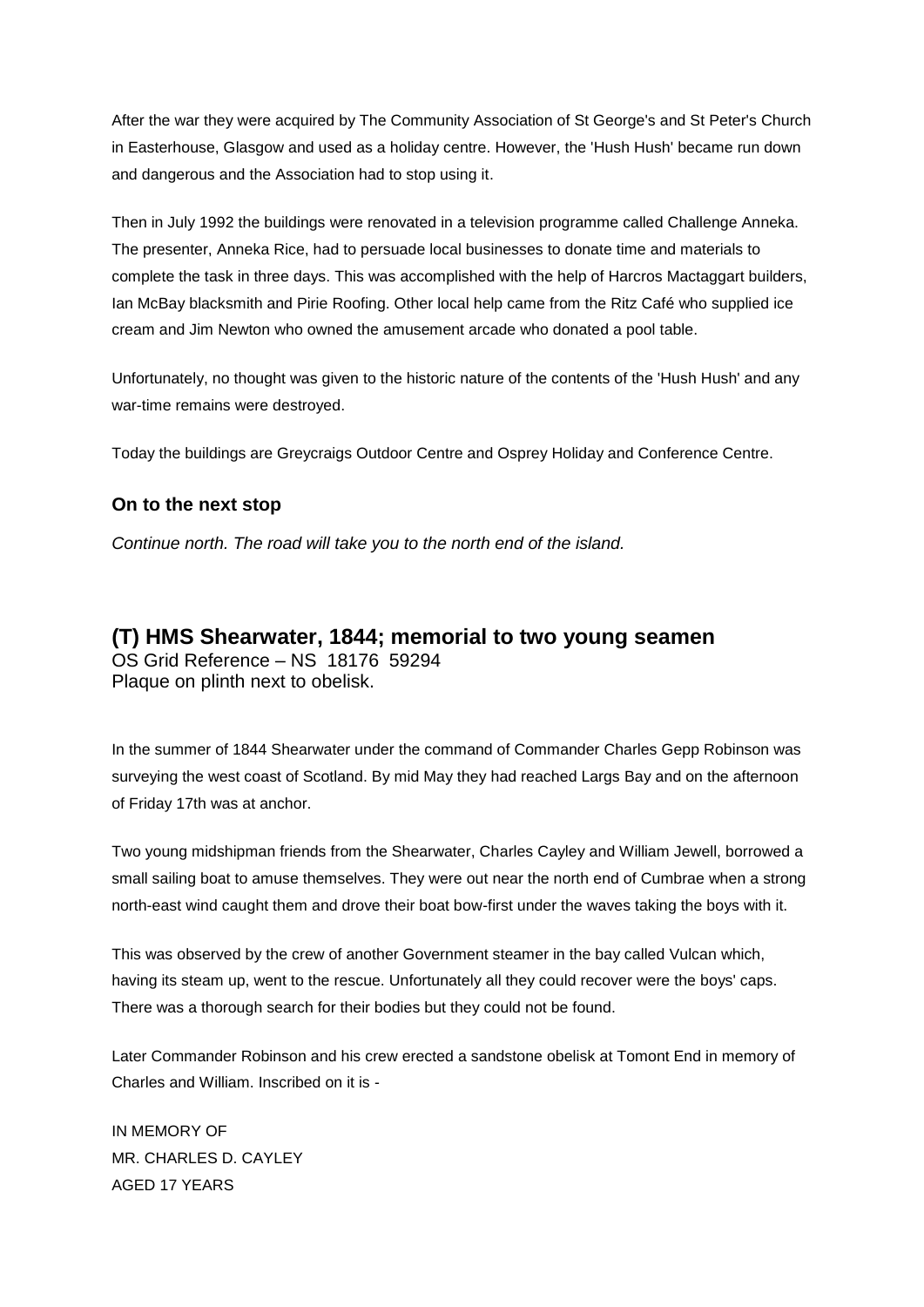After the war they were acquired by The Community Association of St George's and St Peter's Church in Easterhouse, Glasgow and used as a holiday centre. However, the 'Hush Hush' became run down and dangerous and the Association had to stop using it.

Then in July 1992 the buildings were renovated in a television programme called Challenge Anneka. The presenter, Anneka Rice, had to persuade local businesses to donate time and materials to complete the task in three days. This was accomplished with the help of Harcros Mactaggart builders, Ian McBay blacksmith and Pirie Roofing. Other local help came from the Ritz Café who supplied ice cream and Jim Newton who owned the amusement arcade who donated a pool table.

Unfortunately, no thought was given to the historic nature of the contents of the 'Hush Hush' and any war-time remains were destroyed.

Today the buildings are Greycraigs Outdoor Centre and Osprey Holiday and Conference Centre.

## **On to the next stop**

*Continue north. The road will take you to the north end of the island.*

## **(T) HMS Shearwater, 1844; memorial to two young seamen** OS Grid Reference – NS 18176 59294 Plaque on plinth next to obelisk.

In the summer of 1844 Shearwater under the command of Commander Charles Gepp Robinson was surveying the west coast of Scotland. By mid May they had reached Largs Bay and on the afternoon of Friday 17th was at anchor.

Two young midshipman friends from the Shearwater, Charles Cayley and William Jewell, borrowed a small sailing boat to amuse themselves. They were out near the north end of Cumbrae when a strong north-east wind caught them and drove their boat bow-first under the waves taking the boys with it.

This was observed by the crew of another Government steamer in the bay called Vulcan which, having its steam up, went to the rescue. Unfortunately all they could recover were the boys' caps. There was a thorough search for their bodies but they could not be found.

Later Commander Robinson and his crew erected a sandstone obelisk at Tomont End in memory of Charles and William. Inscribed on it is -

IN MEMORY OF MR. CHARLES D. CAYLEY AGED 17 YEARS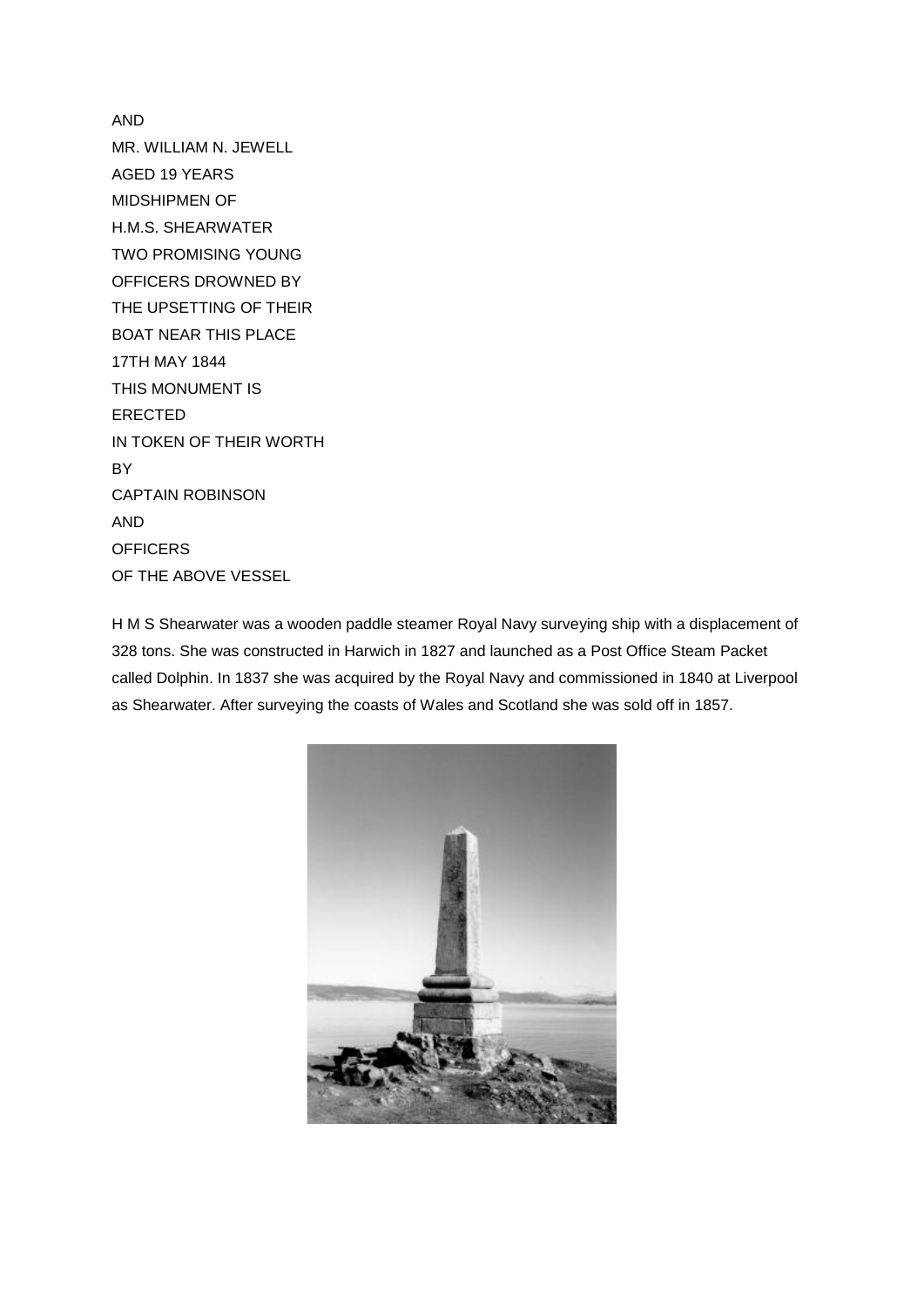AND MR. WILLIAM N. JEWELL AGED 19 YEARS MIDSHIPMEN OF H.M.S. SHEARWATER TWO PROMISING YOUNG OFFICERS DROWNED BY THE UPSETTING OF THEIR BOAT NEAR THIS PLACE 17TH MAY 1844 THIS MONUMENT IS ERECTED IN TOKEN OF THEIR WORTH **BY** CAPTAIN ROBINSON AND **OFFICERS** OF THE ABOVE VESSEL

H M S Shearwater was a wooden paddle steamer Royal Navy surveying ship with a displacement of 328 tons. She was constructed in Harwich in 1827 and launched as a Post Office Steam Packet called Dolphin. In 1837 she was acquired by the Royal Navy and commissioned in 1840 at Liverpool as Shearwater. After surveying the coasts of Wales and Scotland she was sold off in 1857.

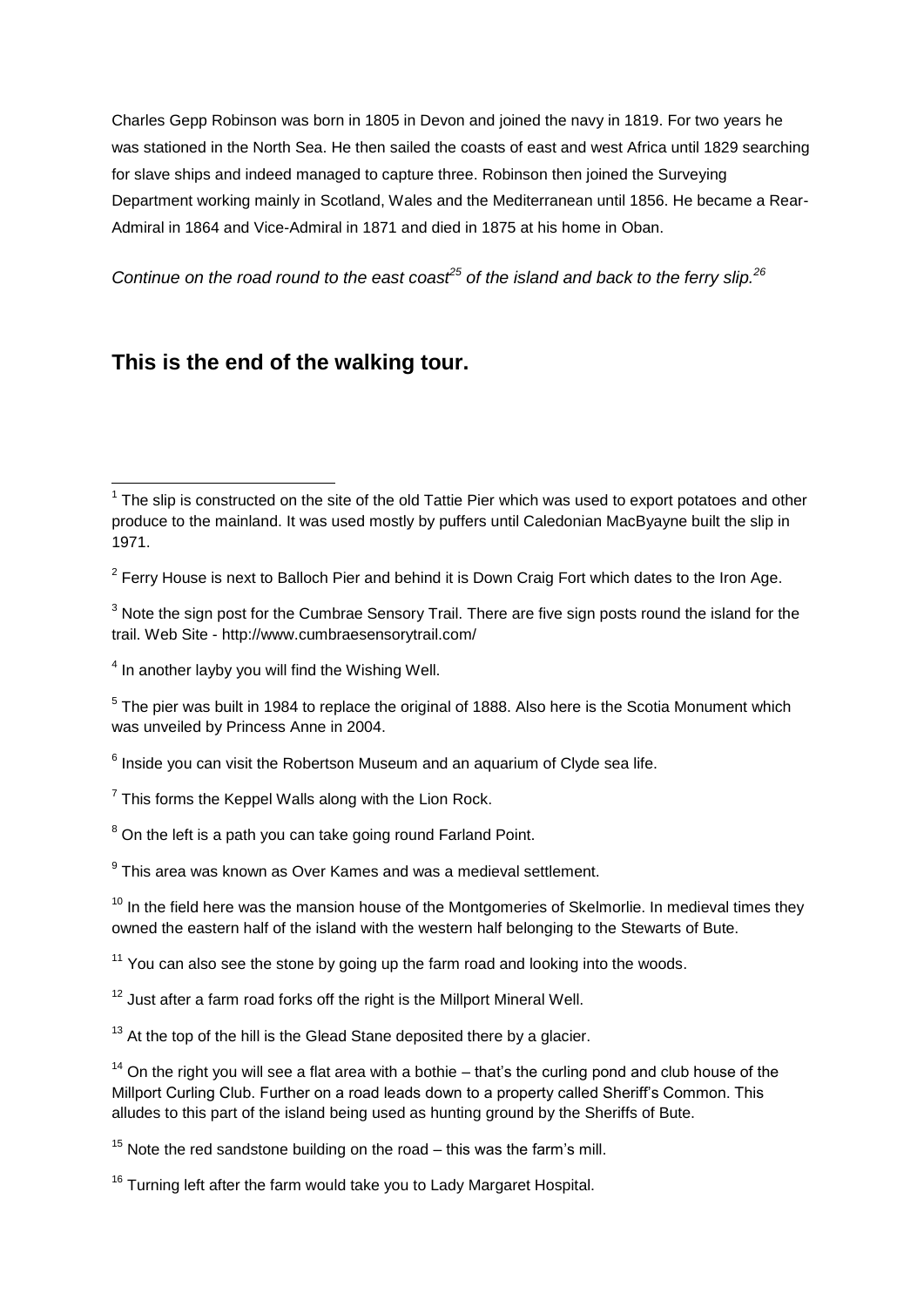Charles Gepp Robinson was born in 1805 in Devon and joined the navy in 1819. For two years he was stationed in the North Sea. He then sailed the coasts of east and west Africa until 1829 searching for slave ships and indeed managed to capture three. Robinson then joined the Surveying Department working mainly in Scotland, Wales and the Mediterranean until 1856. He became a Rear-Admiral in 1864 and Vice-Admiral in 1871 and died in 1875 at his home in Oban.

*Continue on the road round to the east coast<sup>25</sup> of the island and back to the ferry slip.<sup>26</sup>*

# **This is the end of the walking tour.**

 $\overline{\phantom{a}}$ 

 $^6$  Inside you can visit the Robertson Museum and an aquarium of Clyde sea life.

 $9$  This area was known as Over Kames and was a medieval settlement.

 $10$  In the field here was the mansion house of the Montgomeries of Skelmorlie. In medieval times they owned the eastern half of the island with the western half belonging to the Stewarts of Bute.

 $11$  You can also see the stone by going up the farm road and looking into the woods.

 $12$  Just after a farm road forks off the right is the Millport Mineral Well.

 $13$  At the top of the hill is the Glead Stane deposited there by a glacier.

 $14$  On the right you will see a flat area with a bothie – that's the curling pond and club house of the Millport Curling Club. Further on a road leads down to a property called Sheriff's Common. This alludes to this part of the island being used as hunting ground by the Sheriffs of Bute.

 $15$  Note the red sandstone building on the road – this was the farm's mill.

<sup>16</sup> Turning left after the farm would take you to Lady Margaret Hospital.

 $1$  The slip is constructed on the site of the old Tattie Pier which was used to export potatoes and other produce to the mainland. It was used mostly by puffers until Caledonian MacByayne built the slip in 1971.

 $2$  Ferry House is next to Balloch Pier and behind it is Down Craig Fort which dates to the Iron Age.

 $3$  Note the sign post for the Cumbrae Sensory Trail. There are five sign posts round the island for the trail. Web Site - http://www.cumbraesensorytrail.com/

 $<sup>4</sup>$  In another layby you will find the Wishing Well.</sup>

 $5$  The pier was built in 1984 to replace the original of 1888. Also here is the Scotia Monument which was unveiled by Princess Anne in 2004.

 $7$  This forms the Keppel Walls along with the Lion Rock.

 $8$  On the left is a path you can take going round Farland Point.